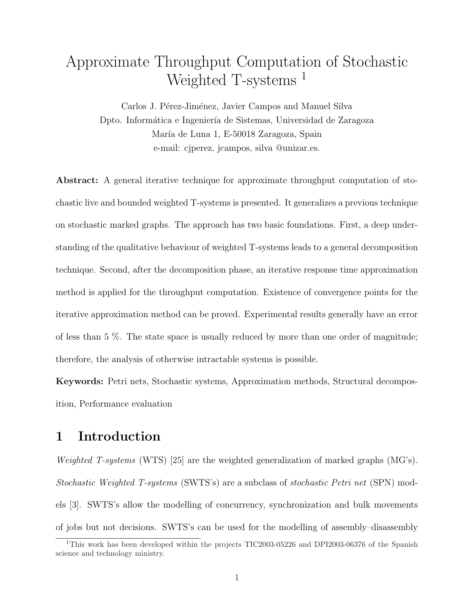# Approximate Throughput Computation of Stochastic Weighted T-systems<sup>1</sup>

Carlos J. Pérez-Jiménez, Javier Campos and Manuel Silva Dpto. Informática e Ingeniería de Sistemas, Universidad de Zaragoza María de Luna 1, E-50018 Zaragoza, Spain e-mail: cjperez, jcampos, silva @unizar.es.

Abstract: A general iterative technique for approximate throughput computation of stochastic live and bounded weighted T-systems is presented. It generalizes a previous technique on stochastic marked graphs. The approach has two basic foundations. First, a deep understanding of the qualitative behaviour of weighted T-systems leads to a general decomposition technique. Second, after the decomposition phase, an iterative response time approximation method is applied for the throughput computation. Existence of convergence points for the iterative approximation method can be proved. Experimental results generally have an error of less than 5 %. The state space is usually reduced by more than one order of magnitude; therefore, the analysis of otherwise intractable systems is possible.

Keywords: Petri nets, Stochastic systems, Approximation methods, Structural decomposition, Performance evaluation

## 1 Introduction

*Weighted T-systems* (WTS) [25] are the weighted generalization of marked graphs (MG's). Stochastic Weighted T-systems (SWTS's) are a subclass of stochastic Petri net (SPN) models [3]. SWTS's allow the modelling of concurrency, synchronization and bulk movements of jobs but not decisions. SWTS's can be used for the modelling of assembly–disassembly

<sup>&</sup>lt;sup>1</sup>This work has been developed within the projects TIC2003-05226 and DPI2003-06376 of the Spanish science and technology ministry.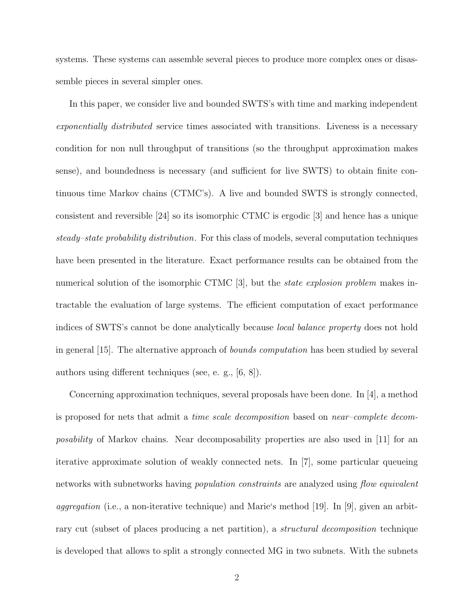systems. These systems can assemble several pieces to produce more complex ones or disassemble pieces in several simpler ones.

In this paper, we consider live and bounded SWTS's with time and marking independent exponentially distributed service times associated with transitions. Liveness is a necessary condition for non null throughput of transitions (so the throughput approximation makes sense), and boundedness is necessary (and sufficient for live SWTS) to obtain finite continuous time Markov chains (CTMC's). A live and bounded SWTS is strongly connected, consistent and reversible [24] so its isomorphic CTMC is ergodic [3] and hence has a unique steady–state probability distribution. For this class of models, several computation techniques have been presented in the literature. Exact performance results can be obtained from the numerical solution of the isomorphic CTMC [3], but the *state explosion problem* makes intractable the evaluation of large systems. The efficient computation of exact performance indices of SWTS's cannot be done analytically because local balance property does not hold in general [15]. The alternative approach of bounds computation has been studied by several authors using different techniques (see, e. g., [6, 8]).

Concerning approximation techniques, several proposals have been done. In [4], a method is proposed for nets that admit a time scale decomposition based on near–complete decomposability of Markov chains. Near decomposability properties are also used in [11] for an iterative approximate solution of weakly connected nets. In [7], some particular queueing networks with subnetworks having *population constraints* are analyzed using *flow equivalent aggregation* (i.e., a non-iterative technique) and Marie's method [19]. In [9], given an arbitrary cut (subset of places producing a net partition), a structural decomposition technique is developed that allows to split a strongly connected MG in two subnets. With the subnets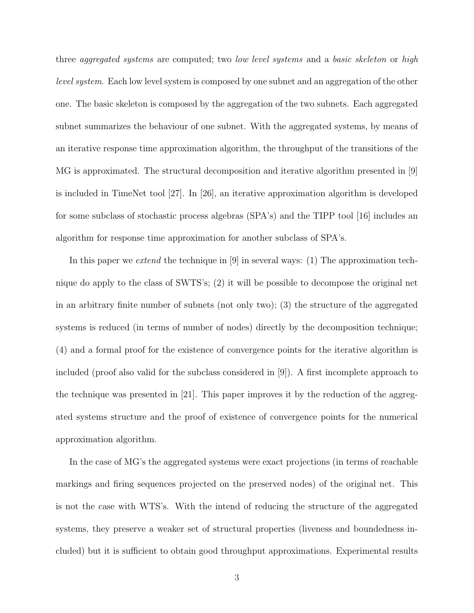three *aggregated systems* are computed; two *low level systems* and a *basic skeleton* or *high* level system. Each low level system is composed by one subnet and an aggregation of the other one. The basic skeleton is composed by the aggregation of the two subnets. Each aggregated subnet summarizes the behaviour of one subnet. With the aggregated systems, by means of an iterative response time approximation algorithm, the throughput of the transitions of the MG is approximated. The structural decomposition and iterative algorithm presented in [9] is included in TimeNet tool [27]. In [26], an iterative approximation algorithm is developed for some subclass of stochastic process algebras (SPA's) and the TIPP tool [16] includes an algorithm for response time approximation for another subclass of SPA's.

In this paper we extend the technique in  $[9]$  in several ways: (1) The approximation technique do apply to the class of SWTS's; (2) it will be possible to decompose the original net in an arbitrary finite number of subnets (not only two); (3) the structure of the aggregated systems is reduced (in terms of number of nodes) directly by the decomposition technique; (4) and a formal proof for the existence of convergence points for the iterative algorithm is included (proof also valid for the subclass considered in [9]). A first incomplete approach to the technique was presented in [21]. This paper improves it by the reduction of the aggregated systems structure and the proof of existence of convergence points for the numerical approximation algorithm.

In the case of MG's the aggregated systems were exact projections (in terms of reachable markings and firing sequences projected on the preserved nodes) of the original net. This is not the case with WTS's. With the intend of reducing the structure of the aggregated systems, they preserve a weaker set of structural properties (liveness and boundedness included) but it is sufficient to obtain good throughput approximations. Experimental results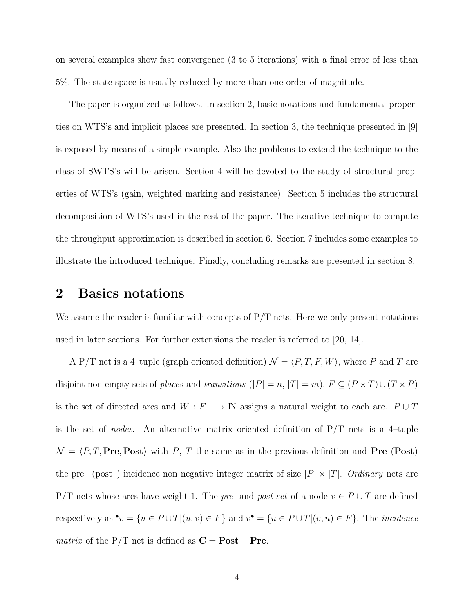on several examples show fast convergence (3 to 5 iterations) with a final error of less than 5%. The state space is usually reduced by more than one order of magnitude.

The paper is organized as follows. In section 2, basic notations and fundamental properties on WTS's and implicit places are presented. In section 3, the technique presented in [9] is exposed by means of a simple example. Also the problems to extend the technique to the class of SWTS's will be arisen. Section 4 will be devoted to the study of structural properties of WTS's (gain, weighted marking and resistance). Section 5 includes the structural decomposition of WTS's used in the rest of the paper. The iterative technique to compute the throughput approximation is described in section 6. Section 7 includes some examples to illustrate the introduced technique. Finally, concluding remarks are presented in section 8.

### 2 Basics notations

We assume the reader is familiar with concepts of  $P/T$  nets. Here we only present notations used in later sections. For further extensions the reader is referred to [20, 14].

A P/T net is a 4-tuple (graph oriented definition)  $\mathcal{N} = \langle P, T, F, W \rangle$ , where P and T are disjoint non empty sets of *places* and *transitions*  $(|P| = n, |T| = m)$ ,  $F \subseteq (P \times T) \cup (T \times P)$ is the set of directed arcs and  $W$  :  $F$   $\longrightarrow$   ${\Bbb N}$  assigns a natural weight to each arc.  $P\cup T$ is the set of *nodes*. An alternative matrix oriented definition of  $P/T$  nets is a 4-tuple  $\mathcal{N} = \langle P, T, Pre, Post \rangle$  with P, T the same as in the previous definition and Pre (Post) the pre– (post–) incidence non negative integer matrix of size  $|P| \times |T|$ . Ordinary nets are P/T nets whose arcs have weight 1. The pre- and post-set of a node  $v \in P \cup T$  are defined respectively as  $\bullet v = \{u \in P \cup T | (u, v) \in F\}$  and  $v\bullet = \{u \in P \cup T | (v, u) \in F\}$ . The *incidence matrix* of the P/T net is defined as  $C = Post - Pre$ .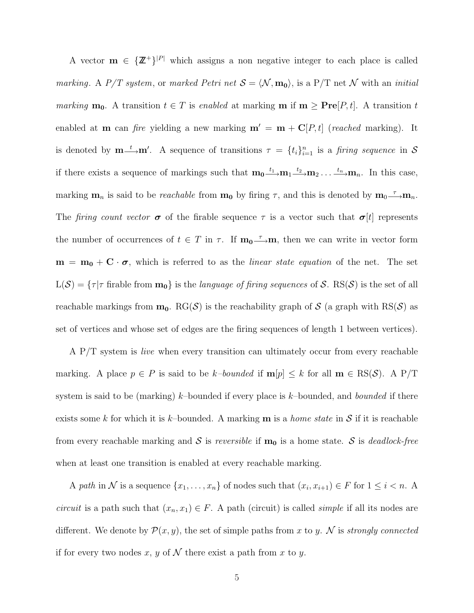A vector  $\mathbf{m} \in {\mathbb{Z}}^+$ |<sup>|P|</sup> which assigns a non negative integer to each place is called marking. A P/T system, or marked Petri net  $S = \langle \mathcal{N}, \mathbf{m_0} \rangle$ , is a P/T net  $\mathcal{N}$  with an initial marking  $m_0$ . A transition  $t \in T$  is enabled at marking  $m$  if  $m \geq Pre[P, t]$ . A transition t enabled at **m** can fire yielding a new marking  $\mathbf{m}' = \mathbf{m} + \mathbf{C}[P, t]$  (reached marking). It is denoted by  $\mathbf{m} \rightarrow \mathbf{m}'$ . A sequence of transitions  $\tau = \{t_i\}_{i=1}^n$  is a *firing sequence* in S if there exists a sequence of markings such that  $m_0 \stackrel{t_1}{\longrightarrow} m_1 \stackrel{t_2}{\longrightarrow} m_2 \dots \stackrel{t_n}{\longrightarrow} m_n$ . In this case, marking  $\mathbf{m}_n$  is said to be *reachable* from  $\mathbf{m}_0$  by firing  $\tau$ , and this is denoted by  $\mathbf{m}_0 \stackrel{\tau}{\longrightarrow} \mathbf{m}_n$ . The firing count vector  $\sigma$  of the firable sequence  $\tau$  is a vector such that  $\sigma[t]$  represents the number of occurrences of  $t \in T$  in  $\tau$ . If  $\mathbf{m_0}\longrightarrow \mathbf{m}$ , then we can write in vector form  $m = m_0 + C \cdot \sigma$ , which is referred to as the *linear state equation* of the net. The set  $L(S) = \{ \tau | \tau \text{ of } \mathbf{m} \text{ of } \mathbf{m} \}$  is the *language of firing sequences* of S. RS(S) is the set of all reachable markings from  $m_0$ . RG(S) is the reachability graph of S (a graph with RS(S) as set of vertices and whose set of edges are the firing sequences of length 1 between vertices).

A P/T system is *live* when every transition can ultimately occur from every reachable marking. A place  $p \in P$  is said to be k-bounded if  $\mathbf{m}[p] \leq k$  for all  $\mathbf{m} \in \text{RS}(\mathcal{S})$ . A P/T system is said to be (marking) k–bounded if every place is k–bounded, and *bounded* if there exists some k for which it is k-bounded. A marking  $\mathbf m$  is a *home state* in S if it is reachable from every reachable marking and S is reversible if  $m_0$  is a home state. S is deadlock-free when at least one transition is enabled at every reachable marking.

A path in N is a sequence  $\{x_1, \ldots, x_n\}$  of nodes such that  $(x_i, x_{i+1}) \in F$  for  $1 \leq i < n$ . A *circuit* is a path such that  $(x_n, x_1) \in F$ . A path (circuit) is called *simple* if all its nodes are different. We denote by  $\mathcal{P}(x, y)$ , the set of simple paths from x to y. N is strongly connected if for every two nodes x, y of  $\mathcal N$  there exist a path from x to y.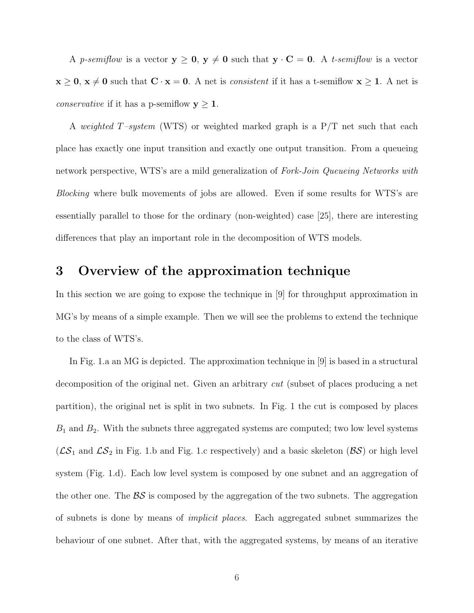A p-semiflow is a vector  $y \ge 0$ ,  $y \ne 0$  such that  $y \cdot C = 0$ . A t-semiflow is a vector  $x \ge 0$ ,  $x \ne 0$  such that  $C \cdot x = 0$ . A net is *consistent* if it has a t-semiflow  $x \ge 1$ . A net is *conservative* if it has a p-semiflow  $y \ge 1$ .

A weighted T-system (WTS) or weighted marked graph is a  $P/T$  net such that each place has exactly one input transition and exactly one output transition. From a queueing network perspective, WTS's are a mild generalization of Fork-Join Queueing Networks with Blocking where bulk movements of jobs are allowed. Even if some results for WTS's are essentially parallel to those for the ordinary (non-weighted) case [25], there are interesting differences that play an important role in the decomposition of WTS models.

## 3 Overview of the approximation technique

In this section we are going to expose the technique in [9] for throughput approximation in MG's by means of a simple example. Then we will see the problems to extend the technique to the class of WTS's.

In Fig. 1.a an MG is depicted. The approximation technique in [9] is based in a structural decomposition of the original net. Given an arbitrary cut (subset of places producing a net partition), the original net is split in two subnets. In Fig. 1 the cut is composed by places  $B_1$  and  $B_2$ . With the subnets three aggregated systems are computed; two low level systems  $(\mathcal{LS}_1$  and  $\mathcal{LS}_2$  in Fig. 1.b and Fig. 1.c respectively) and a basic skeleton  $(\mathcal{BS})$  or high level system (Fig. 1.d). Each low level system is composed by one subnet and an aggregation of the other one. The  $\beta S$  is composed by the aggregation of the two subnets. The aggregation of subnets is done by means of implicit places. Each aggregated subnet summarizes the behaviour of one subnet. After that, with the aggregated systems, by means of an iterative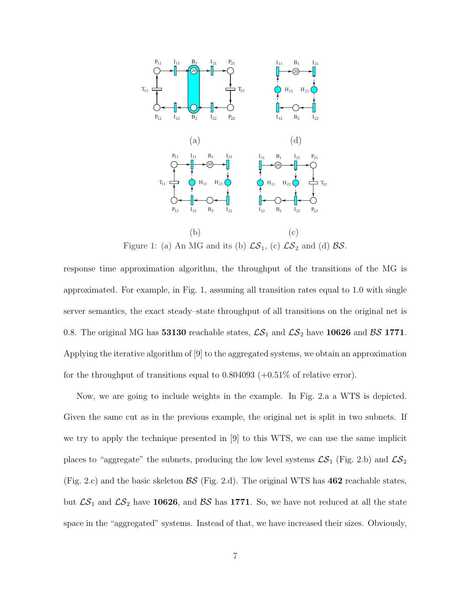

Figure 1: (a) An MG and its (b)  $\mathcal{LS}_1$ , (c)  $\mathcal{LS}_2$  and (d)  $\mathcal{BS}$ .

response time approximation algorithm, the throughput of the transitions of the MG is approximated. For example, in Fig. 1, assuming all transition rates equal to 1.0 with single server semantics, the exact steady–state throughput of all transitions on the original net is 0.8. The original MG has **53130** reachable states,  $\mathcal{LS}_1$  and  $\mathcal{LS}_2$  have **10626** and  $\mathcal{BS}$  **1771**. Applying the iterative algorithm of [9] to the aggregated systems, we obtain an approximation for the throughput of transitions equal to  $0.804093 (+0.51\%$  of relative error).

Now, we are going to include weights in the example. In Fig. 2.a a WTS is depicted. Given the same cut as in the previous example, the original net is split in two subnets. If we try to apply the technique presented in [9] to this WTS, we can use the same implicit places to "aggregate" the subnets, producing the low level systems  $\mathcal{LS}_1$  (Fig. 2.b) and  $\mathcal{LS}_2$ (Fig. 2.c) and the basic skeleton  $\mathcal{BS}$  (Fig. 2.d). The original WTS has **462** reachable states, but  $\mathcal{LS}_1$  and  $\mathcal{LS}_2$  have 10626, and  $\mathcal{BS}$  has 1771. So, we have not reduced at all the state space in the "aggregated" systems. Instead of that, we have increased their sizes. Obviously,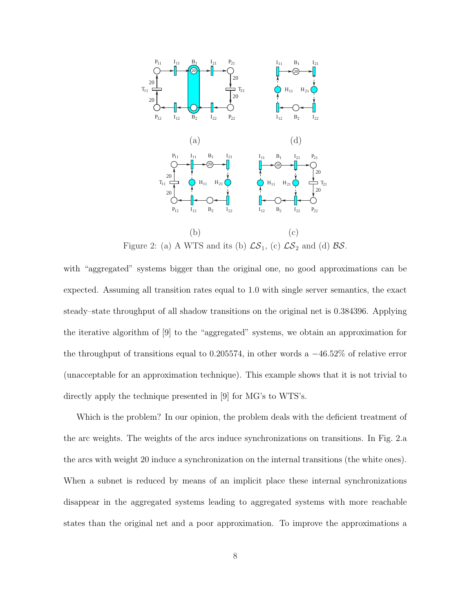

Figure 2: (a) A WTS and its (b)  $\mathcal{LS}_1$ , (c)  $\mathcal{LS}_2$  and (d)  $\mathcal{BS}$ .

with "aggregated" systems bigger than the original one, no good approximations can be expected. Assuming all transition rates equal to 1.0 with single server semantics, the exact steady–state throughput of all shadow transitions on the original net is 0.384396. Applying the iterative algorithm of [9] to the "aggregated" systems, we obtain an approximation for the throughput of transitions equal to 0.205574, in other words a  $-46.52\%$  of relative error (unacceptable for an approximation technique). This example shows that it is not trivial to directly apply the technique presented in [9] for MG's to WTS's.

Which is the problem? In our opinion, the problem deals with the deficient treatment of the arc weights. The weights of the arcs induce synchronizations on transitions. In Fig. 2.a the arcs with weight 20 induce a synchronization on the internal transitions (the white ones). When a subnet is reduced by means of an implicit place these internal synchronizations disappear in the aggregated systems leading to aggregated systems with more reachable states than the original net and a poor approximation. To improve the approximations a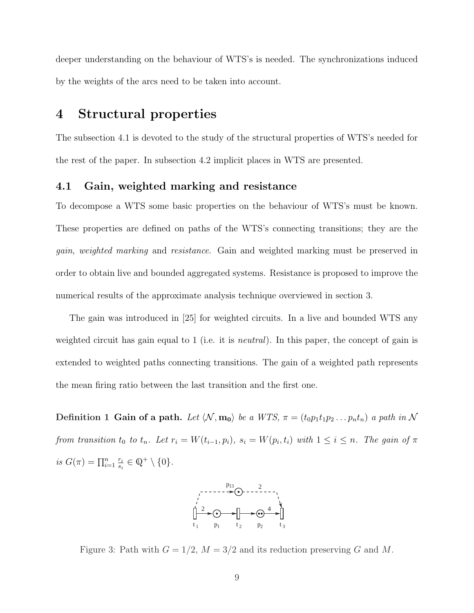deeper understanding on the behaviour of WTS's is needed. The synchronizations induced by the weights of the arcs need to be taken into account.

## 4 Structural properties

The subsection 4.1 is devoted to the study of the structural properties of WTS's needed for the rest of the paper. In subsection 4.2 implicit places in WTS are presented.

### 4.1 Gain, weighted marking and resistance

To decompose a WTS some basic properties on the behaviour of WTS's must be known. These properties are defined on paths of the WTS's connecting transitions; they are the gain, weighted marking and resistance. Gain and weighted marking must be preserved in order to obtain live and bounded aggregated systems. Resistance is proposed to improve the numerical results of the approximate analysis technique overviewed in section 3.

The gain was introduced in [25] for weighted circuits. In a live and bounded WTS any weighted circuit has gain equal to 1 (i.e. it is *neutral*). In this paper, the concept of gain is extended to weighted paths connecting transitions. The gain of a weighted path represents the mean firing ratio between the last transition and the first one.

Definition 1 Gain of a path. Let  $\langle \mathcal{N}, m_0 \rangle$  be a WTS,  $\pi = (t_0 p_1 t_1 p_2 \dots p_n t_n)$  a path in N from transition  $t_0$  to  $t_n$ . Let  $r_i = W(t_{i-1}, p_i)$ ,  $s_i = W(p_i, t_i)$  with  $1 \leq i \leq n$ . The gain of  $\pi$ is  $G(\pi) = \prod_{i=1}^{n} \frac{r_i}{s_i}$  $\frac{r_i}{s_i} \in \mathbb{Q}^+ \setminus \{0\}.$ 



Figure 3: Path with  $G = 1/2$ ,  $M = 3/2$  and its reduction preserving G and M.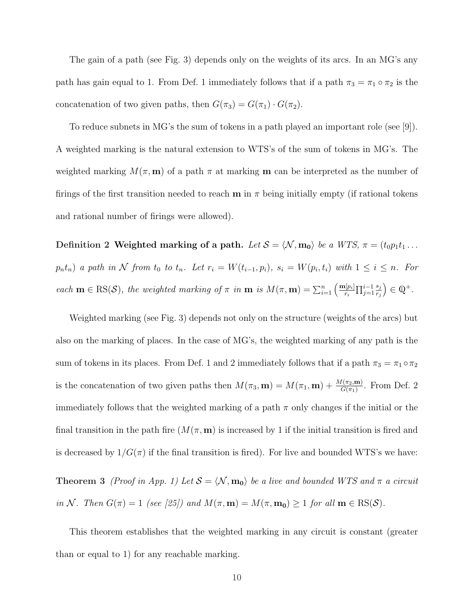The gain of a path (see Fig. 3) depends only on the weights of its arcs. In an MG's any path has gain equal to 1. From Def. 1 immediately follows that if a path  $\pi_3 = \pi_1 \circ \pi_2$  is the concatenation of two given paths, then  $G(\pi_3) = G(\pi_1) \cdot G(\pi_2)$ .

To reduce subnets in MG's the sum of tokens in a path played an important role (see [9]). A weighted marking is the natural extension to WTS's of the sum of tokens in MG's. The weighted marking  $M(\pi, \mathbf{m})$  of a path  $\pi$  at marking **m** can be interpreted as the number of firings of the first transition needed to reach **m** in  $\pi$  being initially empty (if rational tokens and rational number of firings were allowed).

Definition 2 Weighted marking of a path. Let  $S = \langle \mathcal{N}, m_0 \rangle$  be a WTS,  $\pi = (t_0 p_1 t_1 \dots$  $p_n t_n$ ) a path in N from  $t_0$  to  $t_n$ . Let  $r_i = W(t_{i-1}, p_i)$ ,  $s_i = W(p_i, t_i)$  with  $1 \leq i \leq n$ . For each  $\mathbf{m} \in \text{RS}(\mathcal{S})$ , the weighted marking of  $\pi$  in  $\mathbf{m}$  is  $M(\pi, \mathbf{m}) = \sum_{i=1}^{n} \left( \frac{\mathbf{m}[p_i]}{r_i} \right)$  $\prod_{j=1}^{i-1}$ sj rj ´  $\in \mathbb{Q}^+$ .

Weighted marking (see Fig. 3) depends not only on the structure (weights of the arcs) but also on the marking of places. In the case of MG's, the weighted marking of any path is the sum of tokens in its places. From Def. 1 and 2 immediately follows that if a path  $\pi_3 = \pi_1 \circ \pi_2$ is the concatenation of two given paths then  $M(\pi_3, \mathbf{m}) = M(\pi_1, \mathbf{m}) + \frac{M(\pi_2, \mathbf{m})}{G(\pi_1)}$ . From Def. 2 immediately follows that the weighted marking of a path  $\pi$  only changes if the initial or the final transition in the path fire  $(M(\pi, \mathbf{m}))$  is increased by 1 if the initial transition is fired and is decreased by  $1/G(\pi)$  if the final transition is fired). For live and bounded WTS's we have:

**Theorem 3** (Proof in App. 1) Let  $S = \langle \mathcal{N}, \mathbf{m_0} \rangle$  be a live and bounded WTS and  $\pi$  a circuit in N. Then  $G(\pi) = 1$  (see [25]) and  $M(\pi, \mathbf{m}) = M(\pi, \mathbf{m_0}) \ge 1$  for all  $\mathbf{m} \in \text{RS}(\mathcal{S})$ .

This theorem establishes that the weighted marking in any circuit is constant (greater than or equal to 1) for any reachable marking.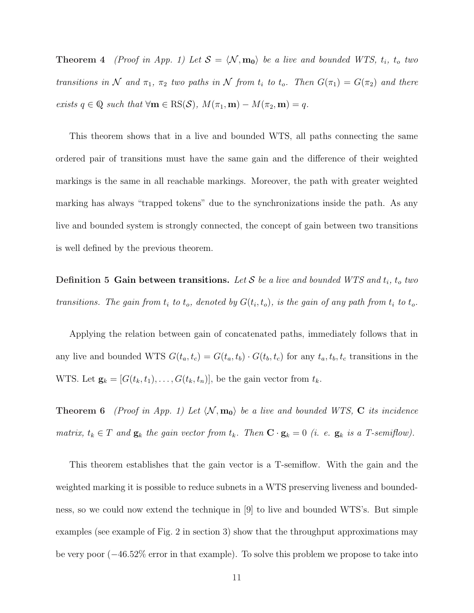**Theorem 4** (Proof in App. 1) Let  $S = \langle N, m_0 \rangle$  be a live and bounded WTS,  $t_i$ ,  $t_o$  two transitions in N and  $\pi_1$ ,  $\pi_2$  two paths in N from  $t_i$  to  $t_o$ . Then  $G(\pi_1) = G(\pi_2)$  and there exists  $q \in \mathbb{Q}$  such that  $\forall \mathbf{m} \in \text{RS}(\mathcal{S}), M(\pi_1, \mathbf{m}) - M(\pi_2, \mathbf{m}) = q$ .

This theorem shows that in a live and bounded WTS, all paths connecting the same ordered pair of transitions must have the same gain and the difference of their weighted markings is the same in all reachable markings. Moreover, the path with greater weighted marking has always "trapped tokens" due to the synchronizations inside the path. As any live and bounded system is strongly connected, the concept of gain between two transitions is well defined by the previous theorem.

Definition 5 Gain between transitions. Let  $S$  be a live and bounded WTS and  $t_i$ ,  $t_o$  two transitions. The gain from  $t_i$  to  $t_o$ , denoted by  $G(t_i,t_o)$ , is the gain of any path from  $t_i$  to  $t_o$ .

Applying the relation between gain of concatenated paths, immediately follows that in any live and bounded WTS  $G(t_a, t_c) = G(t_a, t_b) \cdot G(t_b, t_c)$  for any  $t_a, t_b, t_c$  transitions in the WTS. Let  $\mathbf{g}_k = [G(t_k, t_1), \dots, G(t_k, t_n)],$  be the gain vector from  $t_k$ .

**Theorem 6** (Proof in App. 1) Let  $\langle \mathcal{N}, \mathbf{m_0} \rangle$  be a live and bounded WTS, C its incidence matrix,  $t_k \in T$  and  $\mathbf{g}_k$  the gain vector from  $t_k$ . Then  $\mathbf{C} \cdot \mathbf{g}_k = 0$  (i. e.  $\mathbf{g}_k$  is a T-semiflow).

This theorem establishes that the gain vector is a T-semiflow. With the gain and the weighted marking it is possible to reduce subnets in a WTS preserving liveness and boundedness, so we could now extend the technique in [9] to live and bounded WTS's. But simple examples (see example of Fig. 2 in section 3) show that the throughput approximations may be very poor (−46.52% error in that example). To solve this problem we propose to take into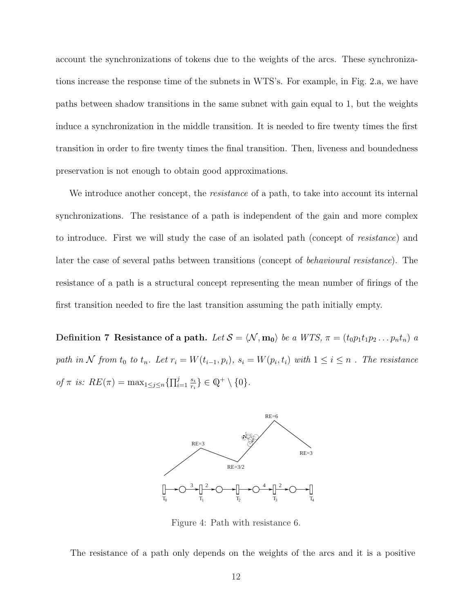account the synchronizations of tokens due to the weights of the arcs. These synchronizations increase the response time of the subnets in WTS's. For example, in Fig. 2.a, we have paths between shadow transitions in the same subnet with gain equal to 1, but the weights induce a synchronization in the middle transition. It is needed to fire twenty times the first transition in order to fire twenty times the final transition. Then, liveness and boundedness preservation is not enough to obtain good approximations.

We introduce another concept, the *resistance* of a path, to take into account its internal synchronizations. The resistance of a path is independent of the gain and more complex to introduce. First we will study the case of an isolated path (concept of resistance) and later the case of several paths between transitions (concept of behavioural resistance). The resistance of a path is a structural concept representing the mean number of firings of the first transition needed to fire the last transition assuming the path initially empty.

Definition 7 Resistance of a path. Let  $S = \langle \mathcal{N}, \mathbf{m_0} \rangle$  be a WTS,  $\pi = (t_0 p_1 t_1 p_2 \dots p_n t_n)$  a path in N from  $t_0$  to  $t_n$ . Let  $r_i = W(t_{i-1}, p_i)$ ,  $s_i = W(p_i, t_i)$  with  $1 \le i \le n$ . The resistance of  $\pi$  is:  $RE(\pi) = \max_{1 \leq j \leq n} {\prod_{i=1}^{j}}$  $\frac{j}{i=1}$   $\frac{s_i}{r_i}$  $\{ \frac{s_i}{r_i} \} \in \mathbb{Q}^+ \setminus \{0\}.$ 



Figure 4: Path with resistance 6.

The resistance of a path only depends on the weights of the arcs and it is a positive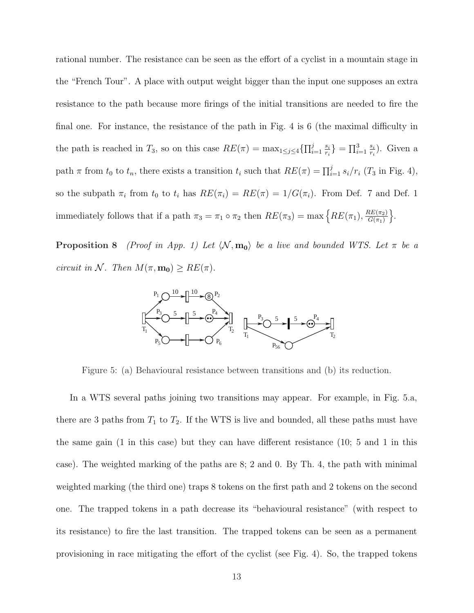rational number. The resistance can be seen as the effort of a cyclist in a mountain stage in the "French Tour". A place with output weight bigger than the input one supposes an extra resistance to the path because more firings of the initial transitions are needed to fire the final one. For instance, the resistance of the path in Fig. 4 is 6 (the maximal difficulty in the path is reached in  $T_3$ , so on this case  $RE(\pi) = \max_{1 \leq j \leq 4} \{\prod_{i=1}^{j}$  $\frac{j}{i=1}$   $\frac{s_i}{r_i}$  $\frac{s_i}{r_i}$ } =  $\prod_{i=1}^{3} \frac{s_i}{r_i}$  $\frac{s_i}{r_i}$ ). Given a path  $\pi$  from  $t_0$  to  $t_n$ , there exists a transition  $t_i$  such that  $RE(\pi) = \prod_{i=1}^{j} s_i/r_i$  ( $T_3$  in Fig. 4), so the subpath  $\pi_i$  from  $t_0$  to  $t_i$  has  $RE(\pi_i) = RE(\pi_i) = 1/G(\pi_i)$ . From Def. 7 and Def. 1 immediately follows that if a path  $\pi_3 = \pi_1 \circ \pi_2$  then  $RE(\pi_3) = \max \left\{ RE(\pi_1), \frac{RE(\pi_2)}{G(\pi_1)} \right\}$  $G(\pi_1)$ o .

**Proposition 8** (Proof in App. 1) Let  $\langle \mathcal{N}, \mathbf{m_0} \rangle$  be a live and bounded WTS. Let  $\pi$  be a circuit in N. Then  $M(\pi, \mathbf{m_0}) \geq RE(\pi)$ .



Figure 5: (a) Behavioural resistance between transitions and (b) its reduction.

In a WTS several paths joining two transitions may appear. For example, in Fig. 5.a, there are 3 paths from  $T_1$  to  $T_2$ . If the WTS is live and bounded, all these paths must have the same gain (1 in this case) but they can have different resistance (10; 5 and 1 in this case). The weighted marking of the paths are 8; 2 and 0. By Th. 4, the path with minimal weighted marking (the third one) traps 8 tokens on the first path and 2 tokens on the second one. The trapped tokens in a path decrease its "behavioural resistance" (with respect to its resistance) to fire the last transition. The trapped tokens can be seen as a permanent provisioning in race mitigating the effort of the cyclist (see Fig. 4). So, the trapped tokens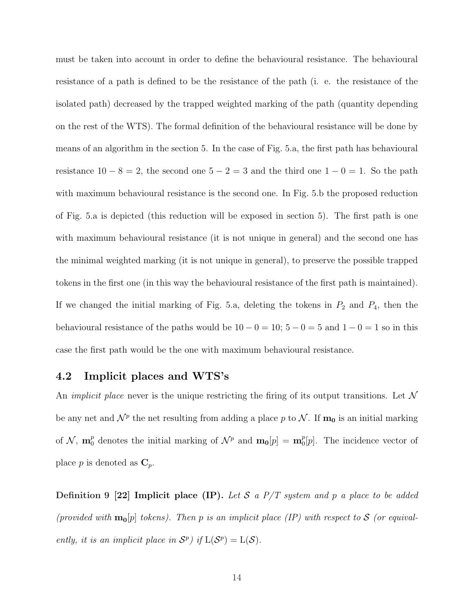must be taken into account in order to define the behavioural resistance. The behavioural resistance of a path is defined to be the resistance of the path (i. e. the resistance of the isolated path) decreased by the trapped weighted marking of the path (quantity depending on the rest of the WTS). The formal definition of the behavioural resistance will be done by means of an algorithm in the section 5. In the case of Fig. 5.a, the first path has behavioural resistance  $10 - 8 = 2$ , the second one  $5 - 2 = 3$  and the third one  $1 - 0 = 1$ . So the path with maximum behavioural resistance is the second one. In Fig. 5.b the proposed reduction of Fig. 5.a is depicted (this reduction will be exposed in section 5). The first path is one with maximum behavioural resistance (it is not unique in general) and the second one has the minimal weighted marking (it is not unique in general), to preserve the possible trapped tokens in the first one (in this way the behavioural resistance of the first path is maintained). If we changed the initial marking of Fig. 5.a, deleting the tokens in  $P_2$  and  $P_4$ , then the behavioural resistance of the paths would be  $10 - 0 = 10$ ;  $5 - 0 = 5$  and  $1 - 0 = 1$  so in this case the first path would be the one with maximum behavioural resistance.

### 4.2 Implicit places and WTS's

An *implicit place* never is the unique restricting the firing of its output transitions. Let  $\mathcal N$ be any net and  $\mathcal{N}^p$  the net resulting from adding a place p to  $\mathcal{N}$ . If  $\mathbf{m_0}$  is an initial marking of  $\mathcal{N}$ ,  $\mathbf{m}_0^p$  denotes the initial marking of  $\mathcal{N}^p$  and  $\mathbf{m}_0[p] = \mathbf{m}_0^p$  $0<sub>0</sub>[p]$ . The incidence vector of place p is denoted as  $\mathbf{C}_p$ .

Definition 9 [22] Implicit place (IP). Let S a  $P/T$  system and p a place to be added (provided with  $m_0[p]$  tokens). Then p is an implicit place (IP) with respect to S (or equivalently, it is an implicit place in  $S^p$ ) if  $L(S^p) = L(S)$ .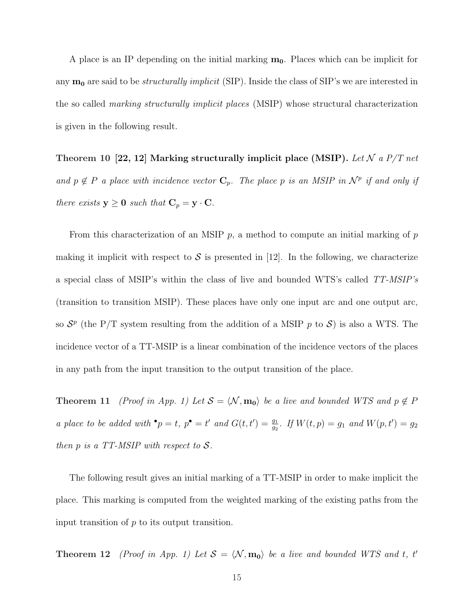A place is an IP depending on the initial marking  $m_0$ . Places which can be implicit for any  $m_0$  are said to be *structurally implicit* (SIP). Inside the class of SIP's we are interested in the so called marking structurally implicit places (MSIP) whose structural characterization is given in the following result.

Theorem 10 [22, 12] Marking structurally implicit place (MSIP). Let N a  $P/T$  net and  $p \notin P$  a place with incidence vector  $\mathbf{C}_p$ . The place p is an MSIP in  $\mathcal{N}^p$  if and only if there exists  $y \ge 0$  such that  $C_p = y \cdot C$ .

From this characterization of an MSIP  $p$ , a method to compute an initial marking of  $p$ making it implicit with respect to  $\mathcal S$  is presented in [12]. In the following, we characterize a special class of MSIP's within the class of live and bounded WTS's called TT-MSIP's (transition to transition MSIP). These places have only one input arc and one output arc, so  $S^p$  (the P/T system resulting from the addition of a MSIP p to S) is also a WTS. The incidence vector of a TT-MSIP is a linear combination of the incidence vectors of the places in any path from the input transition to the output transition of the place.

Theorem 11 (Proof in App. 1) Let  $S = \langle \mathcal{N}, \mathbf{m_0} \rangle$  be a live and bounded WTS and  $p \notin P$ a place to be added with  ${}^{\bullet} p = t$ ,  $p^{\bullet} = t'$  and  $G(t, t') = \frac{g_1}{g_2}$ . If  $W(t, p) = g_1$  and  $W(p, t') = g_2$ then  $p$  is a TT-MSIP with respect to  $S$ .

The following result gives an initial marking of a TT-MSIP in order to make implicit the place. This marking is computed from the weighted marking of the existing paths from the input transition of  $p$  to its output transition.

**Theorem 12** (Proof in App. 1) Let  $S = \langle \mathcal{N}, \mathbf{m_0} \rangle$  be a live and bounded WTS and t, t'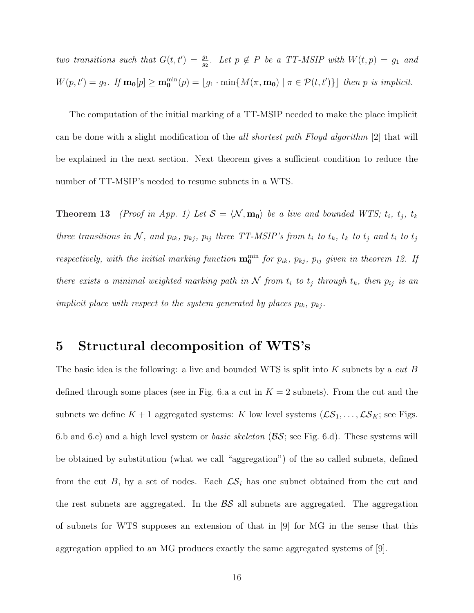two transitions such that  $G(t,t') = \frac{g_1}{g_2}$ . Let  $p \notin P$  be a TT-MSIP with  $W(t,p) = g_1$  and  $W(p,t') = g_2$ . If  $\mathbf{m_0}[p] \ge \mathbf{m_0}^{\min}(p) = \lfloor g_1 \cdot \min\{M(\pi, \mathbf{m_0}) \mid \pi \in \mathcal{P}(t,t')\}\rfloor$  then p is implicit.

The computation of the initial marking of a TT-MSIP needed to make the place implicit can be done with a slight modification of the all shortest path Floyd algorithm [2] that will be explained in the next section. Next theorem gives a sufficient condition to reduce the number of TT-MSIP's needed to resume subnets in a WTS.

**Theorem 13** (Proof in App. 1) Let  $S = \langle \mathcal{N}, \mathbf{m_0} \rangle$  be a live and bounded WTS;  $t_i$ ,  $t_j$ ,  $t_k$ three transitions in  $N$ , and  $p_{ik}$ ,  $p_{kj}$ ,  $p_{ij}$  three TT-MSIP's from  $t_i$  to  $t_k$ ,  $t_k$  to  $t_j$  and  $t_i$  to  $t_j$ respectively, with the initial marking function  $\mathbf{m_0}^{\min}$  for  $p_{ik}$ ,  $p_{kj}$ ,  $p_{ij}$  given in theorem 12. If there exists a minimal weighted marking path in  $N$  from  $t_i$  to  $t_j$  through  $t_k$ , then  $p_{ij}$  is an implicit place with respect to the system generated by places  $p_{ik}$ ,  $p_{kj}$ .

## 5 Structural decomposition of WTS's

The basic idea is the following: a live and bounded WTS is split into  $K$  subnets by a cut  $B$ defined through some places (see in Fig. 6.a a cut in  $K = 2$  subnets). From the cut and the subnets we define  $K + 1$  aggregated systems: K low level systems  $(\mathcal{LS}_1, \ldots, \mathcal{LS}_K;$  see Figs. 6.b and 6.c) and a high level system or *basic skeleton* ( $\mathcal{B}S$ ; see Fig. 6.d). These systems will be obtained by substitution (what we call "aggregation") of the so called subnets, defined from the cut B, by a set of nodes. Each  $\mathcal{LS}_i$  has one subnet obtained from the cut and the rest subnets are aggregated. In the  $\beta S$  all subnets are aggregated. The aggregation of subnets for WTS supposes an extension of that in [9] for MG in the sense that this aggregation applied to an MG produces exactly the same aggregated systems of [9].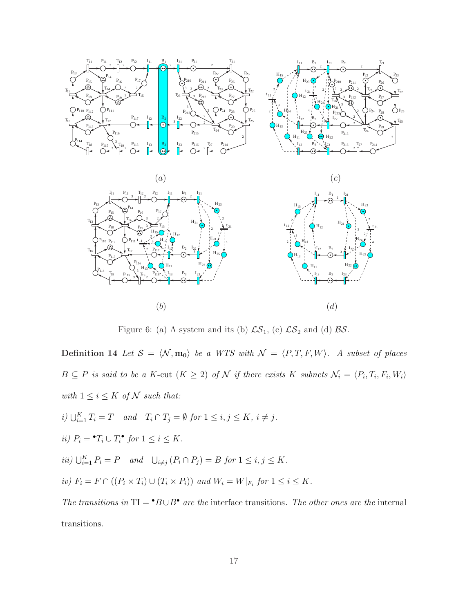

Figure 6: (a) A system and its (b)  $\mathcal{LS}_1$ , (c)  $\mathcal{LS}_2$  and (d)  $\mathcal{BS}$ .

Definition 14 Let  $S = \langle N, m_0 \rangle$  be a WTS with  $\mathcal{N} = \langle P, T, F, W \rangle$ . A subset of places  $B \subseteq P$  is said to be a K-cut  $(K \geq 2)$  of N if there exists K subnets  $\mathcal{N}_i = \langle P_i, T_i, F_i, W_i \rangle$ with  $1\leq i\leq K$  of  ${\mathcal N}$  such that:

- i)  $\bigcup_{i=1}^K T_i = T$  and  $T_i \cap T_j = \emptyset$  for  $1 \leq i, j \leq K$ ,  $i \neq j$ .
- ii)  $P_i = \mathbf{^{\bullet}}T_i \cup T_i \mathbf{^{\bullet}}$  for  $1 \leq i \leq K$ .
- iii)  $\bigcup_{i=1}^{K} P_i = P$  and  $\bigcup_{i \neq j} (P_i \cap P_j) = B$  for  $1 \leq i, j \leq K$ .
- iv)  $F_i = F \cap ((P_i \times T_i) \cup (T_i \times P_i))$  and  $W_i = W|_{F_i}$  for  $1 \leq i \leq K$ .

The transitions in  $TI = \cdot B \cup B^{\bullet}$  are the interface transitions. The other ones are the internal transitions.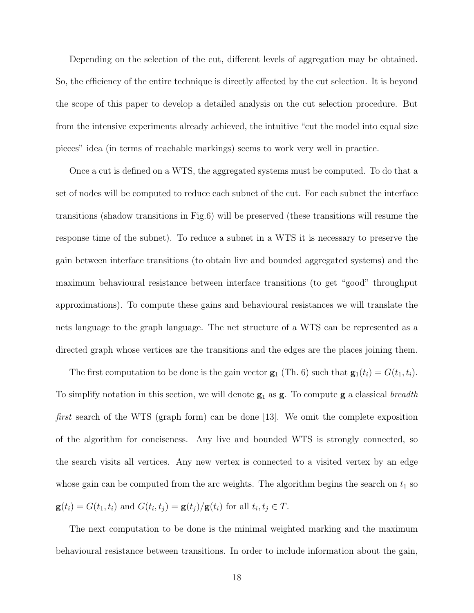Depending on the selection of the cut, different levels of aggregation may be obtained. So, the efficiency of the entire technique is directly affected by the cut selection. It is beyond the scope of this paper to develop a detailed analysis on the cut selection procedure. But from the intensive experiments already achieved, the intuitive "cut the model into equal size pieces" idea (in terms of reachable markings) seems to work very well in practice.

Once a cut is defined on a WTS, the aggregated systems must be computed. To do that a set of nodes will be computed to reduce each subnet of the cut. For each subnet the interface transitions (shadow transitions in Fig.6) will be preserved (these transitions will resume the response time of the subnet). To reduce a subnet in a WTS it is necessary to preserve the gain between interface transitions (to obtain live and bounded aggregated systems) and the maximum behavioural resistance between interface transitions (to get "good" throughput approximations). To compute these gains and behavioural resistances we will translate the nets language to the graph language. The net structure of a WTS can be represented as a directed graph whose vertices are the transitions and the edges are the places joining them.

The first computation to be done is the gain vector  $\mathbf{g}_1$  (Th. 6) such that  $\mathbf{g}_1(t_i) = G(t_1, t_i)$ . To simplify notation in this section, we will denote  $g_1$  as  $g$ . To compute  $g$  a classical breadth first search of the WTS (graph form) can be done [13]. We omit the complete exposition of the algorithm for conciseness. Any live and bounded WTS is strongly connected, so the search visits all vertices. Any new vertex is connected to a visited vertex by an edge whose gain can be computed from the arc weights. The algorithm begins the search on  $t_1$  so  $\mathbf{g}(t_i) = G(t_1, t_i)$  and  $G(t_i, t_j) = \mathbf{g}(t_j)/\mathbf{g}(t_i)$  for all  $t_i, t_j \in T$ .

The next computation to be done is the minimal weighted marking and the maximum behavioural resistance between transitions. In order to include information about the gain,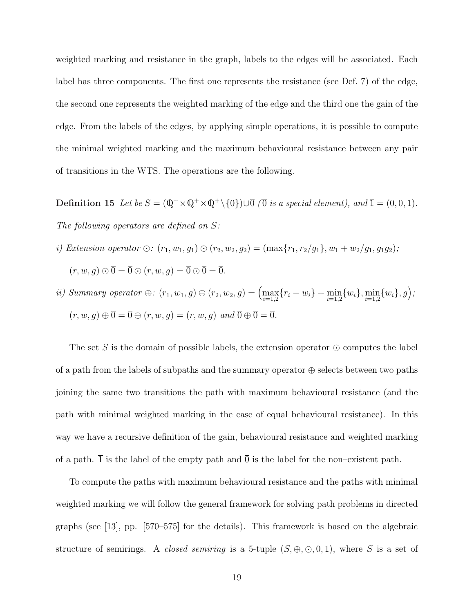weighted marking and resistance in the graph, labels to the edges will be associated. Each label has three components. The first one represents the resistance (see Def. 7) of the edge, the second one represents the weighted marking of the edge and the third one the gain of the edge. From the labels of the edges, by applying simple operations, it is possible to compute the minimal weighted marking and the maximum behavioural resistance between any pair of transitions in the WTS. The operations are the following.

**Definition 15** Let be  $S = (\mathbb{Q}^+ \times \mathbb{Q}^+ \times \mathbb{Q}^+ \setminus \{0\}) \cup \overline{0}$  ( $\overline{0}$  is a special element), and  $\overline{1} = (0, 0, 1)$ . The following operators are defined on  $S$ :

- i) Extension operator  $\odot: (r_1, w_1, g_1) \odot (r_2, w_2, g_2) = (\max\{r_1, r_2/g_1\}, w_1 + w_2/g_1, g_1g_2);$  $(r, w, g) \odot \overline{0} = \overline{0} \odot (r, w, g) = \overline{0} \odot \overline{0} = \overline{0}.$
- ii) Summary operator  $\oplus$ :  $(r_1, w_1, g) \oplus (r_2, w_2, g) = (\max_{i=1,2} \{r_i w_i\} + \min_{i=1,2} \{w_i\}, \min_{i=1,2} \{w_i\}, g);$  $(r, w, g) \oplus \overline{0} = \overline{0} \oplus (r, w, g) = (r, w, g) \text{ and } \overline{0} \oplus \overline{0} = \overline{0}.$

The set S is the domain of possible labels, the extension operator  $\odot$  computes the label of a path from the labels of subpaths and the summary operator  $\oplus$  selects between two paths joining the same two transitions the path with maximum behavioural resistance (and the path with minimal weighted marking in the case of equal behavioural resistance). In this way we have a recursive definition of the gain, behavioural resistance and weighted marking of a path.  $\overline{1}$  is the label of the empty path and  $\overline{0}$  is the label for the non–existent path.

To compute the paths with maximum behavioural resistance and the paths with minimal weighted marking we will follow the general framework for solving path problems in directed graphs (see [13], pp. [570–575] for the details). This framework is based on the algebraic structure of semirings. A *closed semiring* is a 5-tuple  $(S, \oplus, \odot, \overline{0}, \overline{1})$ , where S is a set of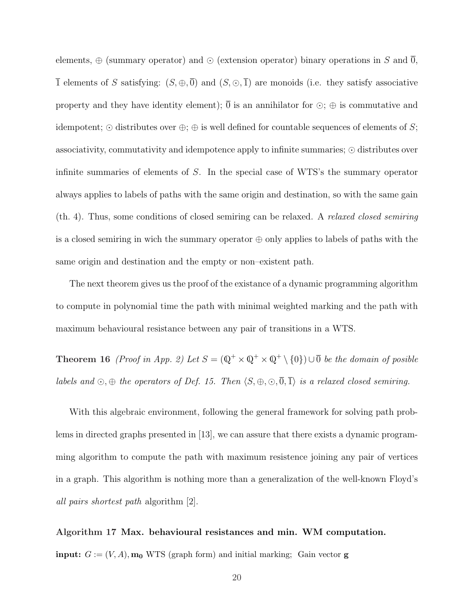elements,  $\oplus$  (summary operator) and  $\odot$  (extension operator) binary operations in S and  $\overline{0}$ ,  $\overline{1}$  elements of S satisfying:  $(S, \oplus, \overline{0})$  and  $(S, \odot, \overline{1})$  are monoids (i.e. they satisfy associative property and they have identity element);  $\overline{0}$  is an annihilator for  $\odot$ ;  $\oplus$  is commutative and idempotent;  $\odot$  distributes over  $\oplus$ ;  $\oplus$  is well defined for countable sequences of elements of S; associativity, commutativity and idempotence apply to infinite summaries;  $\odot$  distributes over infinite summaries of elements of S. In the special case of WTS's the summary operator always applies to labels of paths with the same origin and destination, so with the same gain (th. 4). Thus, some conditions of closed semiring can be relaxed. A relaxed closed semiring is a closed semiring in wich the summary operator  $\oplus$  only applies to labels of paths with the same origin and destination and the empty or non–existent path.

The next theorem gives us the proof of the existance of a dynamic programming algorithm to compute in polynomial time the path with minimal weighted marking and the path with maximum behavioural resistance between any pair of transitions in a WTS.

**Theorem 16** (Proof in App. 2) Let  $S = (\mathbb{Q}^+ \times \mathbb{Q}^+ \times \mathbb{Q}^+ \times \mathbb{Q})$   $\cup$  be the domain of posible labels and  $\odot$ ,  $\oplus$  the operators of Def. 15. Then  $\langle S, \oplus, \odot, \overline{0}, \overline{1} \rangle$  is a relaxed closed semiring.

With this algebraic environment, following the general framework for solving path problems in directed graphs presented in [13], we can assure that there exists a dynamic programming algorithm to compute the path with maximum resistence joining any pair of vertices in a graph. This algorithm is nothing more than a generalization of the well-known Floyd's all pairs shortest path algorithm [2].

# Algorithm 17 Max. behavioural resistances and min. WM computation.

**input:**  $G := (V, A)$ ,  $m_0$  WTS (graph form) and initial marking; Gain vector **g**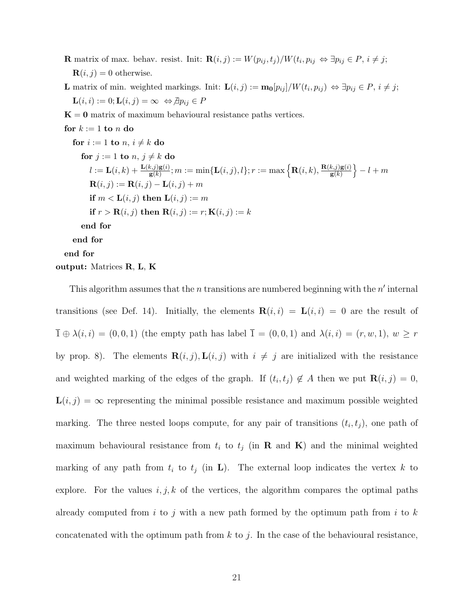**R** matrix of max. behav. resist. Init:  $\mathbf{R}(i, j) := W(p_{ij}, t_j)/W(t_i, p_{ij} \Leftrightarrow \exists p_{ij} \in P, i \neq j;$  $\mathbf{R}(i, j) = 0$  otherwise.

**L** matrix of min. weighted markings. Init:  $\mathbf{L}(i,j) := \mathbf{m_0}[p_{ij}]/W(t_i, p_{ij}) \Leftrightarrow \exists p_{ij} \in P, i \neq j;$  $\mathbf{L}(i, i) := 0; \mathbf{L}(i, j) = \infty \Leftrightarrow \exists p_{ij} \in P$ 

 $K = 0$  matrix of maximum behavioural resistance paths vertices.

for  $k := 1$  to n do for  $i := 1$  to  $n, i \neq k$  do for  $j := 1$  to  $n, j \neq k$  do  $l := \mathbf{L}(i,k) + \frac{\mathbf{L}(k,j)\mathbf{g}(i)}{\mathbf{g}(k)}; m := \min\{\mathbf{L}(i,j),l\}; r := \max\Big\{\mathbf{R}(i,k),\frac{\mathbf{R}(k,j)\mathbf{g}(i)}{\mathbf{g}(k)}\Big\}$  $\overline{\mathbf{g}(k)}$ o  $-l+m$  $\mathbf{R}(i, j) := \mathbf{R}(i, j) - \mathbf{L}(i, j) + m$ if  $m < L(i, j)$  then  $L(i, j) := m$ if  $r > \mathbf{R}(i, j)$  then  $\mathbf{R}(i, j) := r$ ;  $\mathbf{K}(i, j) := k$ end for end for end for output: Matrices R, L, K

This algorithm assumes that the *n* transitions are numbered beginning with the  $n'$  internal transitions (see Def. 14). Initially, the elements  $\mathbf{R}(i,i) = \mathbf{L}(i,i) = 0$  are the result of  $\overline{1} \oplus \lambda(i, i) = (0, 0, 1)$  (the empty path has label  $\overline{1} = (0, 0, 1)$  and  $\lambda(i, i) = (r, w, 1), w \geq r$ by prop. 8). The elements  $\mathbf{R}(i, j)$ ,  $\mathbf{L}(i, j)$  with  $i \neq j$  are initialized with the resistance and weighted marking of the edges of the graph. If  $(t_i, t_j) \notin A$  then we put  $\mathbf{R}(i, j) = 0$ ,  $\mathbf{L}(i, j) = \infty$  representing the minimal possible resistance and maximum possible weighted marking. The three nested loops compute, for any pair of transitions  $(t_i, t_j)$ , one path of maximum behavioural resistance from  $t_i$  to  $t_j$  (in **R** and **K**) and the minimal weighted marking of any path from  $t_i$  to  $t_j$  (in **L**). The external loop indicates the vertex k to explore. For the values  $i, j, k$  of the vertices, the algorithm compares the optimal paths already computed from i to j with a new path formed by the optimum path from i to  $k$ concatenated with the optimum path from  $k$  to  $j$ . In the case of the behavioural resistance,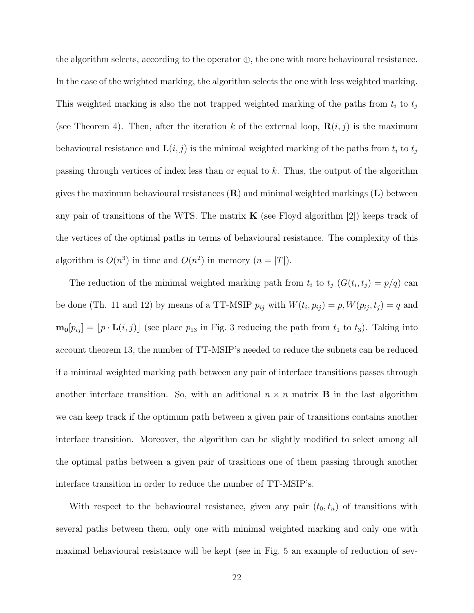the algorithm selects, according to the operator  $\oplus$ , the one with more behavioural resistance. In the case of the weighted marking, the algorithm selects the one with less weighted marking. This weighted marking is also the not trapped weighted marking of the paths from  $t_i$  to  $t_j$ (see Theorem 4). Then, after the iteration k of the external loop,  $\mathbf{R}(i, j)$  is the maximum behavioural resistance and  $\mathbf{L}(i, j)$  is the minimal weighted marking of the paths from  $t_i$  to  $t_j$ passing through vertices of index less than or equal to k. Thus, the output of the algorithm gives the maximum behavioural resistances  $(\mathbf{R})$  and minimal weighted markings  $(\mathbf{L})$  between any pair of transitions of the WTS. The matrix  $\bf{K}$  (see Floyd algorithm [2]) keeps track of the vertices of the optimal paths in terms of behavioural resistance. The complexity of this algorithm is  $O(n^3)$  in time and  $O(n^2)$  in memory  $(n = |T|)$ .

The reduction of the minimal weighted marking path from  $t_i$  to  $t_j$   $(G(t_i, t_j) = p/q)$  can be done (Th. 11 and 12) by means of a TT-MSIP  $p_{ij}$  with  $W(t_i, p_{ij}) = p, W(p_{ij}, t_j) = q$  and  $\mathbf{m_0}[p_{ij}] = [p \cdot \mathbf{L}(i, j)]$  (see place  $p_{13}$  in Fig. 3 reducing the path from  $t_1$  to  $t_3$ ). Taking into account theorem 13, the number of TT-MSIP's needed to reduce the subnets can be reduced if a minimal weighted marking path between any pair of interface transitions passes through another interface transition. So, with an aditional  $n \times n$  matrix **B** in the last algorithm we can keep track if the optimum path between a given pair of transitions contains another interface transition. Moreover, the algorithm can be slightly modified to select among all the optimal paths between a given pair of trasitions one of them passing through another interface transition in order to reduce the number of TT-MSIP's.

With respect to the behavioural resistance, given any pair  $(t_0, t_n)$  of transitions with several paths between them, only one with minimal weighted marking and only one with maximal behavioural resistance will be kept (see in Fig. 5 an example of reduction of sev-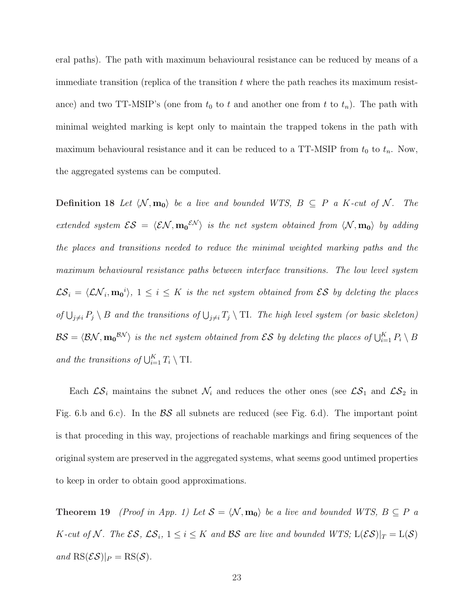eral paths). The path with maximum behavioural resistance can be reduced by means of a immediate transition (replica of the transition  $t$  where the path reaches its maximum resistance) and two TT-MSIP's (one from  $t_0$  to t and another one from t to  $t_n$ ). The path with minimal weighted marking is kept only to maintain the trapped tokens in the path with maximum behavioural resistance and it can be reduced to a TT-MSIP from  $t_0$  to  $t_n$ . Now, the aggregated systems can be computed.

**Definition 18** Let  $\langle \mathcal{N}, \mathbf{m_0} \rangle$  be a live and bounded WTS,  $B \subseteq P$  a K-cut of  $\mathcal{N}$ . The extended system  $\mathcal{ES} = \langle \mathcal{EN}, m_0 \mathcal{SN} \rangle$  is the net system obtained from  $\langle \mathcal{N}, m_0 \rangle$  by adding the places and transitions needed to reduce the minimal weighted marking paths and the maximum behavioural resistance paths between interface transitions. The low level system  $\mathcal{LS}_i = \langle \mathcal{LN}_i, \mathbf{m_0}^i \rangle, 1 \leq i \leq K$  is the net system obtained from  $\mathcal{ES}$  by deleting the places of  $\bigcup_{j\neq i} P_j \setminus B$  and the transitions of  $\bigcup_{j\neq i} T_j \setminus T$ . The high level system (or basic skeleton)  $\mathcal{BS}=\langle \mathcal{BN},\mathbf{m_0}^{\mathcal{BN}}\rangle$  is the net system obtained from  $\mathcal{ES}$  by deleting the places of  $\bigcup_{i=1}^K P_i\setminus B$ and the transitions of  $\bigcup_{i=1}^K T_i \setminus \mathrm{T}I$ .

Each  $\mathcal{LS}_i$  maintains the subnet  $\mathcal{N}_i$  and reduces the other ones (see  $\mathcal{LS}_1$  and  $\mathcal{LS}_2$  in Fig. 6.b and 6.c). In the  $\beta S$  all subnets are reduced (see Fig. 6.d). The important point is that proceding in this way, projections of reachable markings and firing sequences of the original system are preserved in the aggregated systems, what seems good untimed properties to keep in order to obtain good approximations.

**Theorem 19** (Proof in App. 1) Let  $S = \langle \mathcal{N}, \mathbf{m_0} \rangle$  be a live and bounded WTS,  $B \subseteq P$  a K-cut of N. The  $\mathcal{ES}, \mathcal{LS}_i, 1 \leq i \leq K$  and  $\mathcal{BS}$  are live and bounded  $WTS$ ;  $L(\mathcal{ES})|_T = L(\mathcal{S})$ and  $\text{RS}(\mathcal{ES})|_P = \text{RS}(\mathcal{S})$ .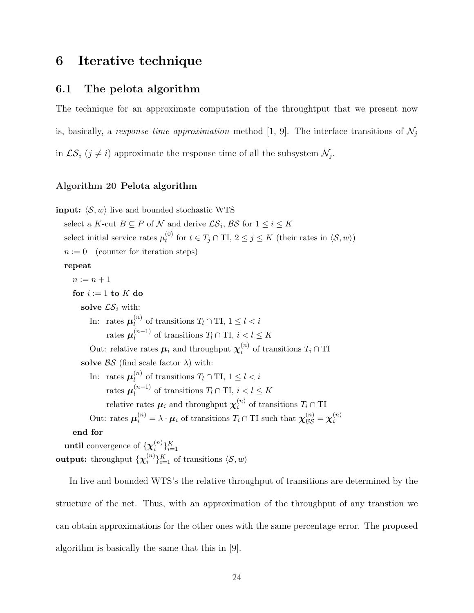## 6 Iterative technique

### 6.1 The pelota algorithm

The technique for an approximate computation of the throughtput that we present now is, basically, a response time approximation method [1, 9]. The interface transitions of  $\mathcal{N}_i$ in  $\mathcal{LS}_i$  ( $j \neq i$ ) approximate the response time of all the subsystem  $\mathcal{N}_j$ .

#### Algorithm 20 Pelota algorithm

**input:**  $\langle \mathcal{S}, w \rangle$  live and bounded stochastic WTS select a K-cut  $B \subseteq P$  of N and derive  $\mathcal{LS}_i$ ,  $\mathcal{BS}$  for  $1 \leq i \leq K$ select initial service rates  $\mu_t^{(0)}$  $t_t^{(0)}$  for  $t \in T_j \cap \text{TI}, 2 \leq j \leq K$  (their rates in  $\langle \mathcal{S}, w \rangle$ )  $n := 0$  (counter for iteration steps) repeat  $n := n + 1$ for  $i := 1$  to  $K$  do solve  $\mathcal{LS}_i$  with: In: rates  $\boldsymbol{\mu}_l^{(n)}$  $\binom{n}{l}$  of transitions  $T_l \cap \text{TI}, 1 \leq l < i$ rates  $\boldsymbol{\mu}_l^{(n-1)}$  $\ell_l^{(n-1)}$  of transitions  $T_l \cap \text{TI}, i < l \leq K$ Out: relative rates  $\mu_i$  and throughput  $\chi_i^{(n)}$  $i^{(n)}$  of transitions  $T_i \cap TI$ solve  $BS$  (find scale factor  $\lambda$ ) with: In: rates  $\boldsymbol{\mu}_l^{(n)}$  $\binom{n}{l}$  of transitions  $T_l \cap \text{TI}, 1 \leq l < i$ rates  $\boldsymbol{\mu}^{(n-1)}_l$  $\prod_l^{(n-1)}$  of transitions  $T_l \cap \text{TI}, i < l \leq K$ relative rates  $\mu_i$  and throughput  $\chi_i^{(n)}$  $i^{(n)}$  of transitions  $T_i \cap TI$ Out: rates  $\mu_i^{(n)} = \lambda \cdot \mu_i$  of transitions  $T_i \cap TI$  such that  $\chi_{\mathcal{BS}}^{(n)} = \chi_i^{(n)}$ i end for **until** convergence of  $\{\chi_i^{(n)}\}$  $i^{(n)}\}_{i=1}^{K}$ 

 $\textsf{output:} \ \{\boldsymbol{\chi}_i^{(n)}\}$  $\binom{n}{i}$ <sub>i</sub> $\binom{K}{i=1}$  of transitions  $\langle \mathcal{S}, w \rangle$ 

In live and bounded WTS's the relative throughput of transitions are determined by the structure of the net. Thus, with an approximation of the throughput of any transtion we can obtain approximations for the other ones with the same percentage error. The proposed algorithm is basically the same that this in [9].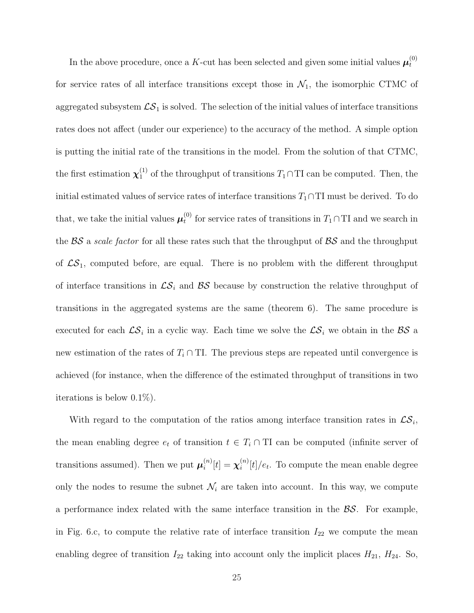In the above procedure, once a K-cut has been selected and given some initial values  $\mu_t^{(0)}$ t for service rates of all interface transitions except those in  $\mathcal{N}_1$ , the isomorphic CTMC of aggregated subsystem  $\mathcal{LS}_1$  is solved. The selection of the initial values of interface transitions rates does not affect (under our experience) to the accuracy of the method. A simple option is putting the initial rate of the transitions in the model. From the solution of that CTMC, the first estimation  $\chi_1^{(1)}$  of the throughput of transitions  $T_1 \cap TI$  can be computed. Then, the initial estimated values of service rates of interface transitions  $T_1 \cap T$ I must be derived. To do that, we take the initial values  $\mu_t^{(0)}$  $t_t^{(0)}$  for service rates of transitions in  $T_1 \cap T$ I and we search in the  $BS$  a scale factor for all these rates such that the throughput of  $BS$  and the throughput of  $\mathcal{LS}_1$ , computed before, are equal. There is no problem with the different throughput of interface transitions in  $\mathcal{LS}_i$  and  $\mathcal{BS}$  because by construction the relative throughput of transitions in the aggregated systems are the same (theorem 6). The same procedure is executed for each  $\mathcal{LS}_i$  in a cyclic way. Each time we solve the  $\mathcal{LS}_i$  we obtain in the  $\mathcal{BS}$  a new estimation of the rates of  $T_i \cap T$ . The previous steps are repeated until convergence is achieved (for instance, when the difference of the estimated throughput of transitions in two iterations is below 0.1%).

With regard to the computation of the ratios among interface transition rates in  $\mathcal{LS}_i$ , the mean enabling degree  $e_t$  of transition  $t \in T_i \cap TI$  can be computed (infinite server of transitions assumed). Then we put  $\mu_i^{(n)}$  $\hat{u}^{(n)}[t] = \boldsymbol{\chi}_i^{(n)}$  $\binom{n}{i}[t]/e_t$ . To compute the mean enable degree only the nodes to resume the subnet  $\mathcal{N}_i$  are taken into account. In this way, we compute a performance index related with the same interface transition in the  $\beta S$ . For example, in Fig. 6.c, to compute the relative rate of interface transition  $I_{22}$  we compute the mean enabling degree of transition  $I_{22}$  taking into account only the implicit places  $H_{21}$ ,  $H_{24}$ . So,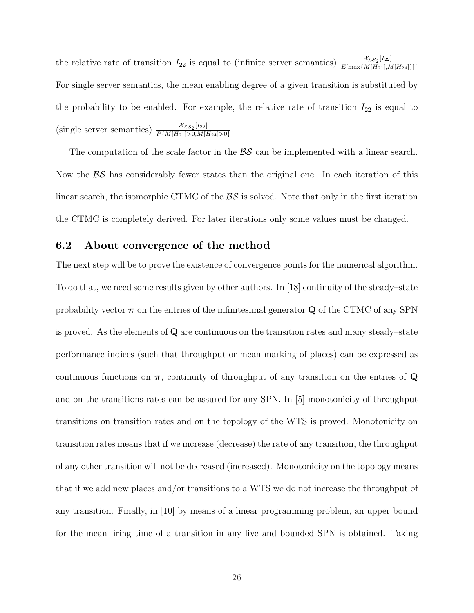the relative rate of transition  $I_{22}$  is equal to (infinite server semantics)  $\frac{\chi_{CS_2}[I_{22}]}{E[\max\{M[H_{21}]\}}$  $\frac{\lambda_{\mathcal{LS}_2[122]}}{E[\max\{M[H_{21}],M[H_{24}]\}]}$ . For single server semantics, the mean enabling degree of a given transition is substituted by the probability to be enabled. For example, the relative rate of transition  $I_{22}$  is equal to (single server semantics)  $\frac{\chi_{\mathcal{L}S_2}[I_{22}]}{PIM[H_{23}]>0 M!}$  $\frac{\lambda_{\mathcal{LS}_2[122]}}{P\{M[H_{21}]>0,M[H_{24}]>0\}}.$ 

The computation of the scale factor in the  $\beta S$  can be implemented with a linear search. Now the  $\beta S$  has considerably fewer states than the original one. In each iteration of this linear search, the isomorphic CTMC of the  $\beta S$  is solved. Note that only in the first iteration the CTMC is completely derived. For later iterations only some values must be changed.

#### 6.2 About convergence of the method

The next step will be to prove the existence of convergence points for the numerical algorithm. To do that, we need some results given by other authors. In [18] continuity of the steady–state probability vector  $\pi$  on the entries of the infinitesimal generator Q of the CTMC of any SPN is proved. As the elements of Q are continuous on the transition rates and many steady–state performance indices (such that throughput or mean marking of places) can be expressed as continuous functions on  $\pi$ , continuity of throughput of any transition on the entries of Q and on the transitions rates can be assured for any SPN. In [5] monotonicity of throughput transitions on transition rates and on the topology of the WTS is proved. Monotonicity on transition rates means that if we increase (decrease) the rate of any transition, the throughput of any other transition will not be decreased (increased). Monotonicity on the topology means that if we add new places and/or transitions to a WTS we do not increase the throughput of any transition. Finally, in [10] by means of a linear programming problem, an upper bound for the mean firing time of a transition in any live and bounded SPN is obtained. Taking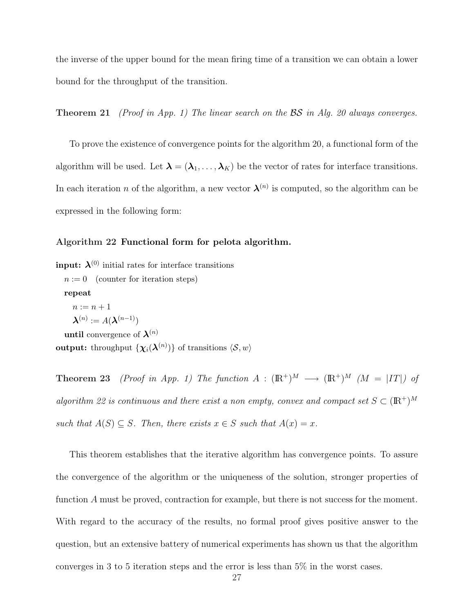the inverse of the upper bound for the mean firing time of a transition we can obtain a lower bound for the throughput of the transition.

**Theorem 21** (Proof in App. 1) The linear search on the  $\beta S$  in Alg. 20 always converges.

To prove the existence of convergence points for the algorithm 20, a functional form of the algorithm will be used. Let  $\lambda = (\lambda_1, \ldots, \lambda_K)$  be the vector of rates for interface transitions. In each iteration *n* of the algorithm, a new vector  $\lambda^{(n)}$  is computed, so the algorithm can be expressed in the following form:

#### Algorithm 22 Functional form for pelota algorithm.

**input:**  $\lambda^{(0)}$  initial rates for interface transitions  $n := 0$  (counter for iteration steps) repeat  $n := n + 1$  $\boldsymbol{\lambda}^{(n)} := A(\boldsymbol{\lambda}^{(n-1)})$ until convergence of  $\lambda^{(n)}$  $\textbf{output:} \text{ throughout } \{\boldsymbol{\chi}_i(\boldsymbol{\lambda}^{(n)})\} \text{ of transitions } \langle \mathcal{S}, w \rangle$ 

**Theorem 23** (Proof in App. 1) The function  $A : (\mathbb{R}^+)^M \longrightarrow (\mathbb{R}^+)^M$  ( $M = |IT|$ ) of algorithm 22 is continuous and there exist a non empty, convex and compact set  $S \subset (\mathbb{R}^+)^M$ such that  $A(S) \subseteq S$ . Then, there exists  $x \in S$  such that  $A(x) = x$ .

This theorem establishes that the iterative algorithm has convergence points. To assure the convergence of the algorithm or the uniqueness of the solution, stronger properties of function A must be proved, contraction for example, but there is not success for the moment. With regard to the accuracy of the results, no formal proof gives positive answer to the question, but an extensive battery of numerical experiments has shown us that the algorithm converges in 3 to 5 iteration steps and the error is less than 5% in the worst cases.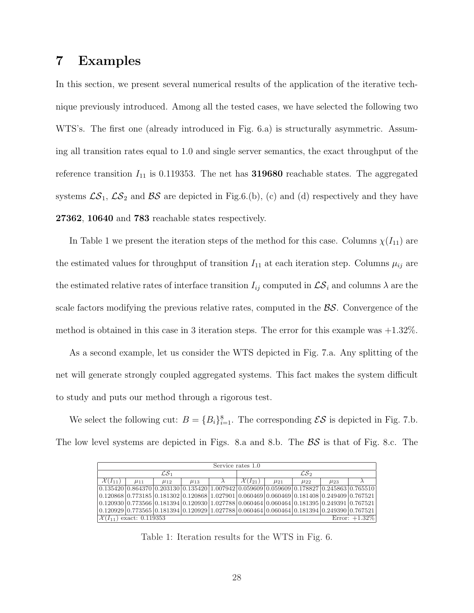## 7 Examples

In this section, we present several numerical results of the application of the iterative technique previously introduced. Among all the tested cases, we have selected the following two WTS's. The first one (already introduced in Fig. 6.a) is structurally asymmetric. Assuming all transition rates equal to 1.0 and single server semantics, the exact throughput of the reference transition  $I_{11}$  is 0.119353. The net has **319680** reachable states. The aggregated systems  $\mathcal{LS}_1$ ,  $\mathcal{LS}_2$  and  $\mathcal{BS}$  are depicted in Fig.6.(b), (c) and (d) respectively and they have 27362, 10640 and 783 reachable states respectively.

In Table 1 we present the iteration steps of the method for this case. Columns  $\chi(I_{11})$  are the estimated values for throughput of transition  $I_{11}$  at each iteration step. Columns  $\mu_{ij}$  are the estimated relative rates of interface transition  $I_{ij}$  computed in  $\mathcal{LS}_i$  and columns  $\lambda$  are the scale factors modifying the previous relative rates, computed in the BS. Convergence of the method is obtained in this case in 3 iteration steps. The error for this example was +1.32%.

As a second example, let us consider the WTS depicted in Fig. 7.a. Any splitting of the net will generate strongly coupled aggregated systems. This fact makes the system difficult to study and puts our method through a rigorous test.

We select the following cut:  $B = \{B_i\}_{i=1}^8$ . The corresponding  $\mathcal{ES}$  is depicted in Fig. 7.b. The low level systems are depicted in Figs. 8.a and 8.b. The  $\beta\mathcal{S}$  is that of Fig. 8.c. The

| Service rates 1.0                                                                                                       |            |            |            |  |                       |            |            |            |  |  |
|-------------------------------------------------------------------------------------------------------------------------|------------|------------|------------|--|-----------------------|------------|------------|------------|--|--|
| ${\cal L}{\cal S}$ 1                                                                                                    |            |            |            |  | $\mathcal{L}S_2$      |            |            |            |  |  |
| $\mathcal{X}(I_{11})$                                                                                                   | $\mu_{11}$ | $\mu_{12}$ | $\mu_{13}$ |  | $\mathcal{X}(I_{21})$ | $\mu_{21}$ | $\mu_{22}$ | $\mu_{23}$ |  |  |
| $[0.135420]0.864370]0.203130]0.135420]1.007942[0.059609]0.059609]0.178827]0.245863]0.765510]$                           |            |            |            |  |                       |            |            |            |  |  |
| $(0.120868)0.773185(0.181302)0.120868(1.027901)0.060469(0.060469)0.181408(0.249409)0.767521)$                           |            |            |            |  |                       |            |            |            |  |  |
| $(0.120930)$ $0.773566$ $(0.181394)$ $0.120930$ $(1.027788)$ $0.060464$ $(0.060464)$ $0.181395$ $(0.249391)$ $0.767521$ |            |            |            |  |                       |            |            |            |  |  |
| $(0.120929)0.773565[0.181394]0.120929[1.027788]0.060464[0.060464]0.181394[0.249390]0.767521]$                           |            |            |            |  |                       |            |            |            |  |  |
| Error: $+1.32\%$<br>$ \mathcal{X}(I_{11}) $ exact: 0.119353                                                             |            |            |            |  |                       |            |            |            |  |  |

Table 1: Iteration results for the WTS in Fig. 6.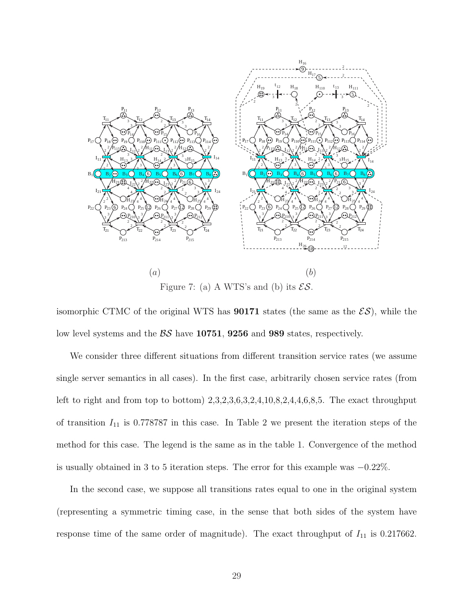

Figure 7: (a) A WTS's and (b) its  $\mathcal{ES}$ .

isomorphic CTMC of the original WTS has **90171** states (the same as the  $\mathcal{ES}$ ), while the low level systems and the  $\beta S$  have 10751, 9256 and 989 states, respectively.

We consider three different situations from different transition service rates (we assume single server semantics in all cases). In the first case, arbitrarily chosen service rates (from left to right and from top to bottom)  $2,3,2,3,6,3,2,4,10,8,2,4,4,6,8,5$ . The exact throughput of transition  $I_{11}$  is 0.778787 in this case. In Table 2 we present the iteration steps of the method for this case. The legend is the same as in the table 1. Convergence of the method is usually obtained in 3 to 5 iteration steps. The error for this example was −0.22%.

In the second case, we suppose all transitions rates equal to one in the original system (representing a symmetric timing case, in the sense that both sides of the system have response time of the same order of magnitude). The exact throughput of  $I_{11}$  is 0.217662.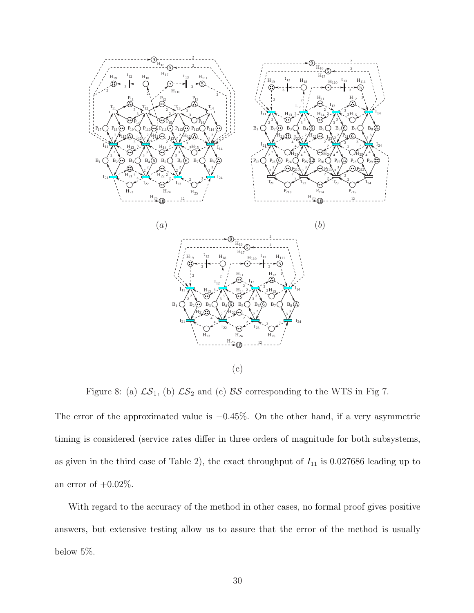

Figure 8: (a)  $\mathcal{LS}_1$ , (b)  $\mathcal{LS}_2$  and (c)  $\mathcal{BS}$  corresponding to the WTS in Fig 7.

The error of the approximated value is −0.45%. On the other hand, if a very asymmetric timing is considered (service rates differ in three orders of magnitude for both subsystems, as given in the third case of Table 2), the exact throughput of  $I_{11}$  is 0.027686 leading up to an error of  $+0.02\%$ .

With regard to the accuracy of the method in other cases, no formal proof gives positive answers, but extensive testing allow us to assure that the error of the method is usually below 5%.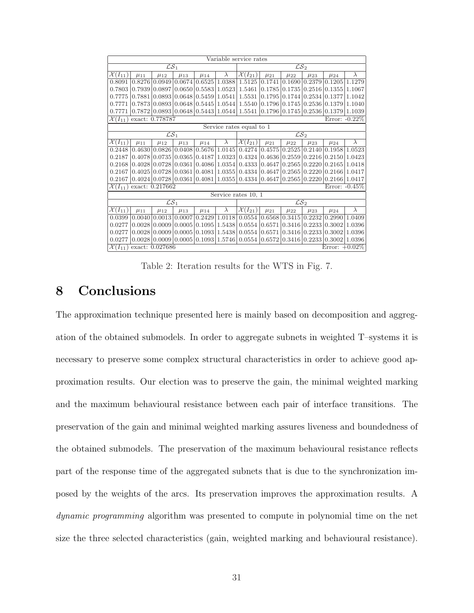| Variable service rates                                       |            |            |                                   |               |           |                                  |                  |                           |            |            |           |  |
|--------------------------------------------------------------|------------|------------|-----------------------------------|---------------|-----------|----------------------------------|------------------|---------------------------|------------|------------|-----------|--|
| $\overline{\mathcal{LS}_1}$                                  |            |            |                                   |               |           | $\overline{\mathcal{LS}_2}$      |                  |                           |            |            |           |  |
| $\mathcal{X}(I_{11})$                                        | $\mu_{11}$ | $\mu_{12}$ | $\mu_{13}$                        | $\mu_{14}$    | $\lambda$ | $\overline{\mathcal{X}}(I_{21})$ | $\mu_{21}$       | $\mu_{22}$                | $\mu_{23}$ | $\mu_{24}$ | $\lambda$ |  |
| 0.8091                                                       | 0.8276     | 0.0949     | 0.0674                            | 0.6525        | 1.0388    | 1.5125                           | 0.1741           | 0.1690                    | 0.2379     | 0.1205     | 1.1279    |  |
| 0.7803                                                       | 0.7939     | 0.0897     |                                   | 0.0650 0.5583 | 1.0523    | 1.5461                           | 0.1785           | 0.1735                    | 0.2516     | 0.1355     | 1.1067    |  |
| 0.7775                                                       | 0.7881     | 0.0893     | 0.0648                            | 0.5459        | 1.0541    | 1.5531                           | 0.1795           | 0.1744                    | 0.2534     | 0.1377     | 1.1042    |  |
| 0.7771                                                       | 0.7873     | 0.0893     | 0.0648                            | 0.5445        | 1.0544    | 1.5540                           | 0.1796           | 0.1745                    | 0.2536     | 0.1379     | 1.1040    |  |
| 0.7771                                                       | 0.7872     |            | 0.0893   0.0648   0.5443   1.0544 |               |           | 1.5541                           |                  | $0.1796 \mid 0.1745 \mid$ | 0.2536     | 0.1379     | 1.1039    |  |
| exact: 0.778787<br>Error: $-0.22\%$<br>$\mathcal{X}(I_{11})$ |            |            |                                   |               |           |                                  |                  |                           |            |            |           |  |
| Service rates equal to 1                                     |            |            |                                   |               |           |                                  |                  |                           |            |            |           |  |
| $\mathcal{LS}_1$                                             |            |            |                                   |               |           | $\mathcal{LS}_2$                 |                  |                           |            |            |           |  |
| $\overline{\mathcal{X}(I_{11})}$                             | $\mu_{11}$ | $\mu_{12}$ | $\mu_{13}$                        | $\mu_{14}$    | $\lambda$ | $\overline{\mathcal{X}(I_{21})}$ | $\mu_{21}$       | $\mu_{22}$                | $\mu_{23}$ | $\mu_{24}$ | $\lambda$ |  |
| 0.2448                                                       | 0.4630     | 0.0826     | 0.0408                            | 0.5676        | 1.0145    | 0.4274                           | 0.4575           | 0.2525                    | 0.2140     | 0.1958     | 1.0523    |  |
| 0.2187                                                       | 0.4078     | 0.0735     | 0.0365                            | 0.4187        | 1.0323    | 0.4324                           | 0.4636           | 0.2559                    | 0.2216     | 0.2150     | 1.0423    |  |
| 0.2168                                                       | 0.4028     | 0.0728     | 0.0361                            | 0.4086        | 1.0354    | 0.4333                           | 0.4647           | 0.2565                    | 0.2220     | 0.2165     | 1.0418    |  |
| 0.2167                                                       | 0.4025     | 0.0728     | 0.0361                            | 0.4081        | 1.0355    | 0.4334                           | 0.4647           | 0.2565                    | 0.2220     | 0.2166     | 1.0417    |  |
| 0.2167                                                       | 0.4024     |            | $0.0728 \mid 0.0361 \mid 0.4081$  |               | 1.0355    | 0.4334                           | 0.4647           | 0.2565                    | 0.2220     | 0.2166     | 1.0417    |  |
| exact: 0.217662<br>$\mathcal{X}(I_{11})$                     |            |            |                                   |               |           |                                  | Error: $-0.45\%$ |                           |            |            |           |  |
|                                                              |            |            |                                   |               |           | Service rates 10, 1              |                  |                           |            |            |           |  |
| $\overline{\mathcal{LS}_1}$                                  |            |            |                                   |               |           | $\overline{\mathcal{LS}_2}$      |                  |                           |            |            |           |  |
| $\overline{\mathcal{X}(I_{11})}$                             | $\mu_{11}$ | $\mu_{12}$ | $\mu_{13}$                        | $\mu_{14}$    | $\lambda$ | $\mathcal{X}(I_{21})$            | $\mu_{21}$       | $\mu_{22}$                | $\mu_{23}$ | $\mu_{24}$ | $\lambda$ |  |
| 0.0399                                                       | 0.0040     |            | 0.0013 0.0007                     | 0.2429        | 1.0118    | 0.0554                           | 0.6568           | 0.3415                    | 0.2232     | 0.2990     | 1.0409    |  |
| 0.0277                                                       | 0.0028     | 0.0009     | 0.0005                            | 0.1095        | 1.5438    | 0.0554                           | 0.6571           | 0.3416                    | 0.2233     | 0.3002     | 1.0396    |  |
| 0.0277                                                       | 0.0028     | 0.0009     | 0.0005                            | 0.1093        | 1.5438    | 0.0554                           | 0.6571           | 0.3416                    | 0.2233     | 0.3002     | 1.0396    |  |
| 0.0277                                                       | 0.0028     | 0.0009     | 0.0005                            | 0.1093        | 1.5746    | 0.0554                           | 0.6572           | 0.3416                    | 0.2233     | 0.3002     | 1.0396    |  |
| Error: $+0.02\%$<br>$\mathcal{X}(I_{11})$<br>exact: 0.027686 |            |            |                                   |               |           |                                  |                  |                           |            |            |           |  |

Table 2: Iteration results for the WTS in Fig. 7.

## 8 Conclusions

The approximation technique presented here is mainly based on decomposition and aggregation of the obtained submodels. In order to aggregate subnets in weighted T–systems it is necessary to preserve some complex structural characteristics in order to achieve good approximation results. Our election was to preserve the gain, the minimal weighted marking and the maximum behavioural resistance between each pair of interface transitions. The preservation of the gain and minimal weighted marking assures liveness and boundedness of the obtained submodels. The preservation of the maximum behavioural resistance reflects part of the response time of the aggregated subnets that is due to the synchronization imposed by the weights of the arcs. Its preservation improves the approximation results. A dynamic programming algorithm was presented to compute in polynomial time on the net size the three selected characteristics (gain, weighted marking and behavioural resistance).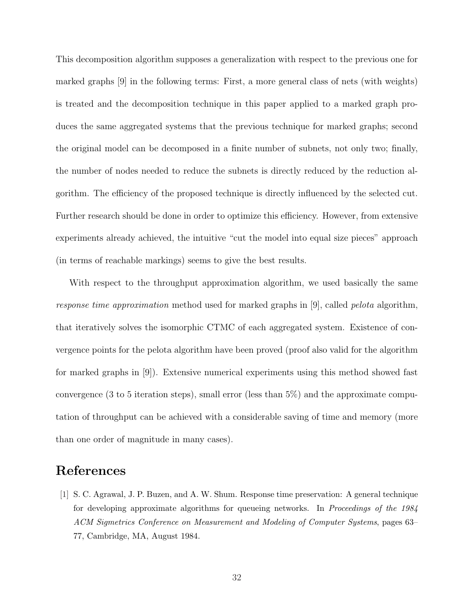This decomposition algorithm supposes a generalization with respect to the previous one for marked graphs [9] in the following terms: First, a more general class of nets (with weights) is treated and the decomposition technique in this paper applied to a marked graph produces the same aggregated systems that the previous technique for marked graphs; second the original model can be decomposed in a finite number of subnets, not only two; finally, the number of nodes needed to reduce the subnets is directly reduced by the reduction algorithm. The efficiency of the proposed technique is directly influenced by the selected cut. Further research should be done in order to optimize this efficiency. However, from extensive experiments already achieved, the intuitive "cut the model into equal size pieces" approach (in terms of reachable markings) seems to give the best results.

With respect to the throughput approximation algorithm, we used basically the same response time approximation method used for marked graphs in [9], called pelota algorithm, that iteratively solves the isomorphic CTMC of each aggregated system. Existence of convergence points for the pelota algorithm have been proved (proof also valid for the algorithm for marked graphs in [9]). Extensive numerical experiments using this method showed fast convergence (3 to 5 iteration steps), small error (less than 5%) and the approximate computation of throughput can be achieved with a considerable saving of time and memory (more than one order of magnitude in many cases).

## References

[1] S. C. Agrawal, J. P. Buzen, and A. W. Shum. Response time preservation: A general technique for developing approximate algorithms for queueing networks. In *Proceedings of the 1984* ACM Sigmetrics Conference on Measurement and Modeling of Computer Systems, pages 63– 77, Cambridge, MA, August 1984.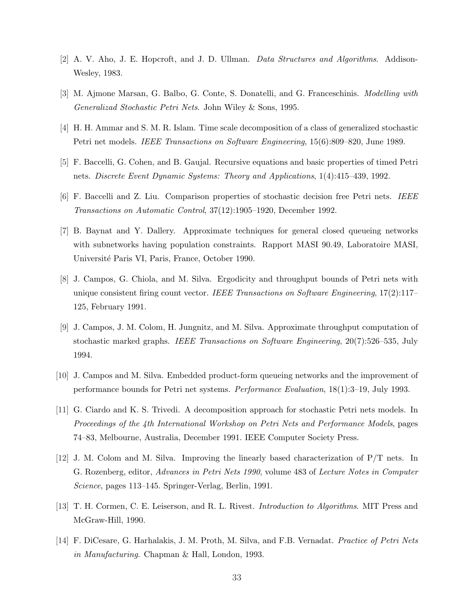- [2] A. V. Aho, J. E. Hopcroft, and J. D. Ullman. Data Structures and Algorithms. Addison-Wesley, 1983.
- [3] M. Ajmone Marsan, G. Balbo, G. Conte, S. Donatelli, and G. Franceschinis. Modelling with Generalizad Stochastic Petri Nets. John Wiley & Sons, 1995.
- [4] H. H. Ammar and S. M. R. Islam. Time scale decomposition of a class of generalized stochastic Petri net models. IEEE Transactions on Software Engineering, 15(6):809–820, June 1989.
- [5] F. Baccelli, G. Cohen, and B. Gaujal. Recursive equations and basic properties of timed Petri nets. Discrete Event Dynamic Systems: Theory and Applications, 1(4):415–439, 1992.
- [6] F. Baccelli and Z. Liu. Comparison properties of stochastic decision free Petri nets. IEEE Transactions on Automatic Control, 37(12):1905–1920, December 1992.
- [7] B. Baynat and Y. Dallery. Approximate techniques for general closed queueing networks with subnetworks having population constraints. Rapport MASI 90.49, Laboratoire MASI, Universit´e Paris VI, Paris, France, October 1990.
- [8] J. Campos, G. Chiola, and M. Silva. Ergodicity and throughput bounds of Petri nets with unique consistent firing count vector. IEEE Transactions on Software Engineering,  $17(2):117-$ 125, February 1991.
- [9] J. Campos, J. M. Colom, H. Jungnitz, and M. Silva. Approximate throughput computation of stochastic marked graphs. IEEE Transactions on Software Engineering, 20(7):526–535, July 1994.
- [10] J. Campos and M. Silva. Embedded product-form queueing networks and the improvement of performance bounds for Petri net systems. Performance Evaluation, 18(1):3–19, July 1993.
- [11] G. Ciardo and K. S. Trivedi. A decomposition approach for stochastic Petri nets models. In Proceedings of the 4th International Workshop on Petri Nets and Performance Models, pages 74–83, Melbourne, Australia, December 1991. IEEE Computer Society Press.
- [12] J. M. Colom and M. Silva. Improving the linearly based characterization of P/T nets. In G. Rozenberg, editor, Advances in Petri Nets 1990, volume 483 of Lecture Notes in Computer Science, pages 113–145. Springer-Verlag, Berlin, 1991.
- [13] T. H. Cormen, C. E. Leiserson, and R. L. Rivest. Introduction to Algorithms. MIT Press and McGraw-Hill, 1990.
- [14] F. DiCesare, G. Harhalakis, J. M. Proth, M. Silva, and F.B. Vernadat. Practice of Petri Nets in Manufacturing. Chapman & Hall, London, 1993.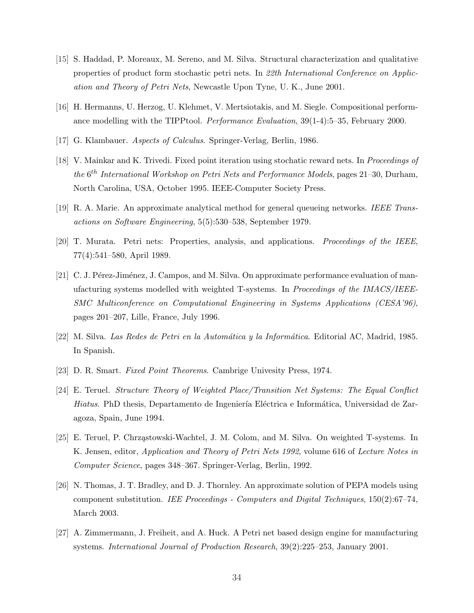- [15] S. Haddad, P. Moreaux, M. Sereno, and M. Silva. Structural characterization and qualitative properties of product form stochastic petri nets. In 22th International Conference on Application and Theory of Petri Nets, Newcastle Upon Tyne, U. K., June 2001.
- [16] H. Hermanns, U. Herzog, U. Klehmet, V. Mertsiotakis, and M. Siegle. Compositional performance modelling with the TIPPtool. Performance Evaluation, 39(1-4):5–35, February 2000.
- [17] G. Klambauer. Aspects of Calculus. Springer-Verlag, Berlin, 1986.
- [18] V. Mainkar and K. Trivedi. Fixed point iteration using stochatic reward nets. In Proceedings of the 6<sup>th</sup> International Workshop on Petri Nets and Performance Models, pages 21–30, Durham, North Carolina, USA, October 1995. IEEE-Computer Society Press.
- [19] R. A. Marie. An approximate analytical method for general queueing networks. IEEE Transactions on Software Engineering, 5(5):530–538, September 1979.
- [20] T. Murata. Petri nets: Properties, analysis, and applications. Proceedings of the IEEE, 77(4):541–580, April 1989.
- [21] C. J. Pérez-Jiménez, J. Campos, and M. Silva. On approximate performance evaluation of manufacturing systems modelled with weighted T-systems. In Proceedings of the IMACS/IEEE-SMC Multiconference on Computational Engineering in Systems Applications (CESA'96), pages 201–207, Lille, France, July 1996.
- $[22]$  M. Silva. Las Redes de Petri en la Automática y la Informática. Editorial AC, Madrid, 1985. In Spanish.
- [23] D. R. Smart. Fixed Point Theorems. Cambrige Univesity Press, 1974.
- [24] E. Teruel. Structure Theory of Weighted Place/Transition Net Systems: The Equal Conflict Hiatus. PhD thesis, Departamento de Ingeniería Eléctrica e Informática, Universidad de Zaragoza, Spain, June 1994.
- [25] E. Teruel, P. Chrząstowski-Wachtel, J. M. Colom, and M. Silva. On weighted T-systems. In K. Jensen, editor, *Application and Theory of Petri Nets 1992*, volume 616 of Lecture Notes in Computer Science, pages 348–367. Springer-Verlag, Berlin, 1992.
- [26] N. Thomas, J. T. Bradley, and D. J. Thornley. An approximate solution of PEPA models using component substitution. IEE Proceedings - Computers and Digital Techniques, 150(2):67–74, March 2003.
- [27] A. Zimmermann, J. Freiheit, and A. Huck. A Petri net based design engine for manufacturing systems. International Journal of Production Research, 39(2):225–253, January 2001.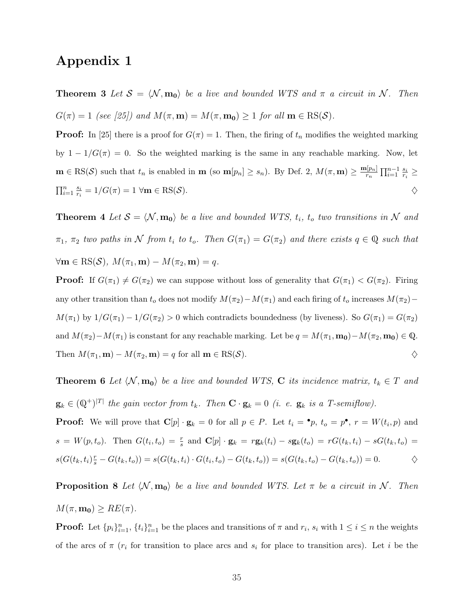## Appendix 1

**Theorem 3** Let  $S = \langle N, m_0 \rangle$  be a live and bounded WTS and  $\pi$  a circuit in N. Then  $G(\pi) = 1$  (see [25]) and  $M(\pi, \mathbf{m}) = M(\pi, \mathbf{m_0}) \ge 1$  for all  $\mathbf{m} \in \text{RS}(\mathcal{S})$ .

**Proof:** In [25] there is a proof for  $G(\pi) = 1$ . Then, the firing of  $t_n$  modifies the weighted marking by  $1 - 1/G(\pi) = 0$ . So the weighted marking is the same in any reachable marking. Now, let  $\mathbf{m} \in \text{RS}(\mathcal{S})$  such that  $t_n$  is enabled in  $\mathbf{m}$  (so  $\mathbf{m}[p_n] \geq s_n$ ). By Def. 2,  $M(\pi, \mathbf{m}) \geq \frac{\mathbf{m}[p_n]}{r_n}$  $\frac{1}{r_n}$  $\prod_{i=1}^{n-1} \frac{s_i}{r_i}$  $\frac{s_i}{r_i} \geq$  $\prod_{i=1}^n \frac{s_i}{r_i}$  $\frac{s_i}{r_i} = 1/G(\pi) = 1 \,\,\forall \mathbf{m} \in \mathrm{RS}(\mathcal{S}).$ 

**Theorem 4** Let  $S = \langle N, m_0 \rangle$  be a live and bounded WTS,  $t_i$ ,  $t_o$  two transitions in N and  $\pi_1$ ,  $\pi_2$  two paths in N from  $t_i$  to  $t_o$ . Then  $G(\pi_1) = G(\pi_2)$  and there exists  $q \in \mathbb{Q}$  such that  $\forall \mathbf{m} \in \text{RS}(\mathcal{S}), M(\pi_1, \mathbf{m}) - M(\pi_2, \mathbf{m}) = q.$ 

**Proof:** If  $G(\pi_1) \neq G(\pi_2)$  we can suppose without loss of generality that  $G(\pi_1) < G(\pi_2)$ . Firing any other transition than  $t_o$  does not modify  $M(\pi_2)-M(\pi_1)$  and each firing of  $t_o$  increases  $M(\pi_2) M(\pi_1)$  by  $1/G(\pi_1) - 1/G(\pi_2) > 0$  which contradicts boundedness (by liveness). So  $G(\pi_1) = G(\pi_2)$ and  $M(\pi_2)-M(\pi_1)$  is constant for any reachable marking. Let be  $q = M(\pi_1, \mathbf{m_0}) - M(\pi_2, \mathbf{m_0}) \in \mathbb{Q}$ . Then  $M(\pi_1, \mathbf{m}) - M(\pi_2, \mathbf{m}) = q$  for all  $\mathbf{m} \in \text{RS}(\mathcal{S})$ .

**Theorem 6** Let  $\langle \mathcal{N}, \mathbf{m_0} \rangle$  be a live and bounded WTS, C its incidence matrix,  $t_k \in T$  and  $\mathbf{g}_k \in (\mathbb{Q}^+)^{|T|}$  the gain vector from  $t_k$ . Then  $\mathbf{C} \cdot \mathbf{g}_k = 0$  (i. e.  $\mathbf{g}_k$  is a T-semiflow).

**Proof:** We will prove that  $\mathbf{C}[p] \cdot \mathbf{g}_k = 0$  for all  $p \in P$ . Let  $t_i = \bullet p$ ,  $t_o = p^{\bullet}$ ,  $r = W(t_i, p)$  and  $s = W(p, t_o)$ . Then  $G(t_i, t_o) = \frac{r}{s}$  and  $\mathbf{C}[p] \cdot \mathbf{g}_k = r \mathbf{g}_k(t_i) - s \mathbf{g}_k(t_o) = r G(t_k, t_i) - s G(t_k, t_o) =$  $s(G(t_k, t_i)_{s}^r - G(t_k, t_o)) = s(G(t_k, t_i) \cdot G(t_i, t_o) - G(t_k, t_o)) = s(G(t_k, t_o) - G(t_k, t_o)) = 0.$   $\diamondsuit$ 

**Proposition 8** Let  $\langle \mathcal{N}, \mathbf{m_0} \rangle$  be a live and bounded WTS. Let  $\pi$  be a circuit in N. Then  $M(\pi, \mathbf{m_0}) \geq RE(\pi).$ 

**Proof:** Let  $\{p_i\}_{i=1}^n$ ,  $\{t_i\}_{i=1}^n$  be the places and transitions of  $\pi$  and  $r_i$ ,  $s_i$  with  $1 \le i \le n$  the weights of the arcs of  $\pi$  ( $r_i$  for transition to place arcs and  $s_i$  for place to transition arcs). Let i be the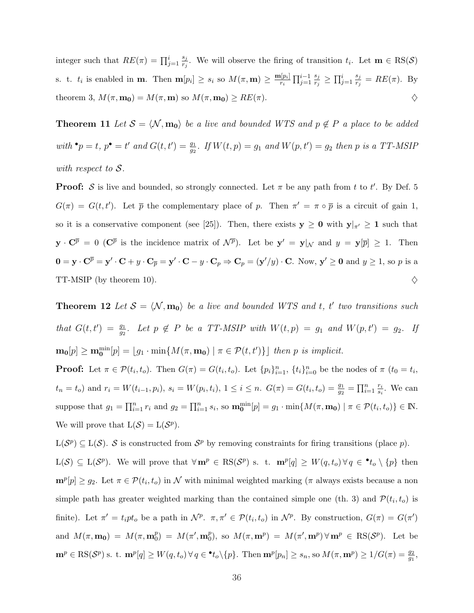integer such that  $RE(\pi) = \prod_{j=1}^{i} \frac{s_j}{r_j}$  $\frac{s_j}{r_j}$ . We will observe the firing of transition  $t_i$ . Let  $\mathbf{m} \in \text{RS}(\mathcal{S})$ s. t.  $t_i$  is enabled in **m**. Then  $\mathbf{m}[p_i] \geq s_i$  so  $M(\pi, \mathbf{m}) \geq \frac{\mathbf{m}[p_i]}{r_i}$ ri  $\prod_{j=1}^{i-1} \frac{s_j}{r_i}$  $\frac{s_j}{r_j} \geq \prod_{j=1}^i \frac{s_j}{r_j}$  $\frac{s_j}{r_j} = RE(\pi)$ . By theorem 3,  $M(\pi, \mathbf{m_0}) = M(\pi, \mathbf{m})$  so  $M(\pi, \mathbf{m_0}) \geq RE(\pi)$ .

**Theorem 11** Let  $S = \langle \mathcal{N}, \mathbf{m_0} \rangle$  be a live and bounded WTS and  $p \notin P$  a place to be added with  ${}^{\bullet}p = t$ ,  $p^{\bullet} = t'$  and  $G(t, t') = \frac{g_1}{g_2}$ . If  $W(t, p) = g_1$  and  $W(p, t') = g_2$  then p is a TT-MSIP with respect to  $S$ .

**Proof:** S is live and bounded, so strongly connected. Let  $\pi$  be any path from t to t'. By Def. 5  $G(\pi) = G(t, t')$ . Let  $\bar{p}$  the complementary place of p. Then  $\pi' = \pi \circ \bar{p}$  is a circuit of gain 1, so it is a conservative component (see [25]). Then, there exists  $y \ge 0$  with  $y|_{\pi'} \ge 1$  such that  $\mathbf{y} \cdot \mathbf{C}^{\overline{p}} = 0$  ( $\mathbf{C}^{\overline{p}}$  is the incidence matrix of  $\mathcal{N}^{\overline{p}}$ ). Let be  $\mathbf{y}' = \mathbf{y}|_{\mathcal{N}}$  and  $y = \mathbf{y}[\overline{p}] \geq 1$ . Then  $\mathbf{0} = \mathbf{y} \cdot \mathbf{C}^{\overline{p}} = \mathbf{y}' \cdot \mathbf{C} + y \cdot \mathbf{C}_{\overline{p}} = \mathbf{y}' \cdot \mathbf{C} - y \cdot \mathbf{C}_p \Rightarrow \mathbf{C}_p = (\mathbf{y}'/y) \cdot \mathbf{C}$ . Now,  $\mathbf{y}' \geq \mathbf{0}$  and  $y \geq 1$ , so p is a TT-MSIP (by theorem 10).  $\diamondsuit$ 

**Theorem 12** Let  $S = \langle N, m_0 \rangle$  be a live and bounded WTS and t, t' two transitions such that  $G(t,t') = \frac{g_1}{g_2}$ . Let  $p \notin P$  be a TT-MSIP with  $W(t,p) = g_1$  and  $W(p,t') = g_2$ . If  $\mathbf{m_0}[p] \geq \mathbf{m_0}^{\min}[p] = \lfloor g_1 \cdot \min\{M(\pi, \mathbf{m_0}) \mid \pi \in \mathcal{P}(t, t')\}\rfloor$  then p is implicit.

**Proof:** Let  $\pi \in \mathcal{P}(t_i, t_o)$ . Then  $G(\pi) = G(t_i, t_o)$ . Let  $\{p_i\}_{i=1}^n$ ,  $\{t_i\}_{i=0}^n$  be the nodes of  $\pi$   $(t_0 = t_i, t_o)$  $t_n = t_o$ ) and  $r_i = W(t_{i-1}, p_i)$ ,  $s_i = W(p_i, t_i)$ ,  $1 \le i \le n$ .  $G(\pi) = G(t_i, t_o) = \frac{g_1}{g_2} = \prod_{i=1}^n \frac{r_i}{s_i}$  $\frac{r_i}{s_i}$ . We can suppose that  $g_1 = \prod_{i=1}^n r_i$  and  $g_2 = \prod_{i=1}^n s_i$ , so  $\mathbf{m_0}^{\min}[p] = g_1 \cdot \min\{M(\pi, \mathbf{m_0}) \mid \pi \in \mathcal{P}(t_i, t_o)\} \in \mathbb{N}$ . We will prove that  $L(S) = L(S^p)$ .

 $L(S^p) \subseteq L(S)$ . S is constructed from  $S^p$  by removing constraints for firing transitions (place p).  $L(S) \subseteq L(S^p)$ . We will prove that  $\forall \mathbf{m}^p \in \text{RS}(S^p)$  s. t.  $\mathbf{m}^p[q] \geq W(q, t_o) \forall q \in \mathbf{L}_o \setminus \{p\}$  then  $\mathbf{m}^p[p] \geq g_2$ . Let  $\pi \in \mathcal{P}(t_i, t_o)$  in N with minimal weighted marking ( $\pi$  always exists because a non simple path has greater weighted marking than the contained simple one (th. 3) and  $\mathcal{P}(t_i, t_o)$  is finite). Let  $\pi' = t_i pt_o$  be a path in  $\mathcal{N}^p$ .  $\pi, \pi' \in \mathcal{P}(t_i, t_o)$  in  $\mathcal{N}^p$ . By construction,  $G(\pi) = G(\pi')$ and  $M(\pi, \mathbf{m_0}) = M(\pi, \mathbf{m}_0^p)$  $\binom{p}{0} = M(\pi', \mathbf{m}_0^p)$ p<sup>p</sup>), so  $M(\pi, \mathbf{m}^p) = M(\pi', \mathbf{m}^p) \forall \mathbf{m}^p \in \text{RS}(\mathcal{S}^p)$ . Let be  $\mathbf{m}^p \in \text{RS}(\mathcal{S}^p) \text{ s. t. } \mathbf{m}^p[q] \geq W(q, t_o) \forall q \in \mathbf{L}_o \setminus \{p\}. \text{ Then } \mathbf{m}^p[p_n] \geq s_n, \text{ so } M(\pi, \mathbf{m}^p) \geq 1/G(\pi) = \frac{g_2}{g_1},$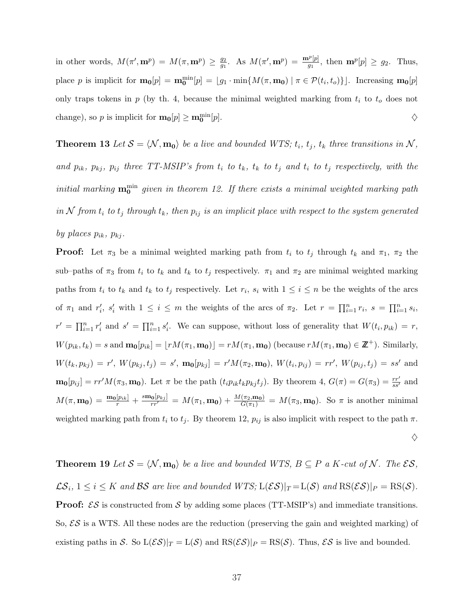in other words,  $M(\pi', \mathbf{m}^p) = M(\pi, \mathbf{m}^p) \geq \frac{g_2}{g_1}$  $\frac{g_2}{g_1}$ . As  $M(\pi', \mathbf{m}^p) = \frac{\mathbf{m}^p[p]}{g_1}$ , then  $\mathbf{m}^p[p] \ge g_2$ . Thus, place p is implicit for  $\mathbf{m_0}[p] = \mathbf{m_0}^{\min}[p] = [g_1 \cdot \min\{M(\pi, \mathbf{m_0}) \mid \pi \in \mathcal{P}(t_i, t_o)\}]$ . Increasing  $\mathbf{m_0}[p]$ only traps tokens in  $p$  (by th. 4, because the minimal weighted marking from  $t_i$  to  $t_o$  does not change), so p is implicit for  $\mathbf{m_0}[p] \ge \mathbf{m_0^{\text{min}}}$  $[p].$ 

**Theorem 13** Let  $S = \langle N, m_0 \rangle$  be a live and bounded WTS;  $t_i$ ,  $t_j$ ,  $t_k$  three transitions in N, and  $p_{ik}$ ,  $p_{kj}$ ,  $p_{ij}$  three TT-MSIP's from  $t_i$  to  $t_k$ ,  $t_k$  to  $t_j$  and  $t_i$  to  $t_j$  respectively, with the initial marking  $\mathbf{m_0}^{\text{min}}$  given in theorem 12. If there exists a minimal weighted marking path in N from  $t_i$  to  $t_j$  through  $t_k$ , then  $p_{ij}$  is an implicit place with respect to the system generated by places  $p_{ik}$ ,  $p_{ki}$ .

**Proof:** Let  $\pi_3$  be a minimal weighted marking path from  $t_i$  to  $t_j$  through  $t_k$  and  $\pi_1$ ,  $\pi_2$  the sub–paths of  $\pi_3$  from  $t_i$  to  $t_k$  and  $t_k$  to  $t_j$  respectively.  $\pi_1$  and  $\pi_2$  are minimal weighted marking paths from  $t_i$  to  $t_k$  and  $t_k$  to  $t_j$  respectively. Let  $r_i$ ,  $s_i$  with  $1 \leq i \leq n$  be the weights of the arcs of  $\pi_1$  and  $r'_i$ ,  $s'_i$  with  $1 \leq i \leq m$  the weights of the arcs of  $\pi_2$ . Let  $r = \prod_{i=1}^n r_i$ ,  $s = \prod_{i=1}^n s_i$ ,  $r' = \prod_{i=1}^n r'_i$  and  $s' = \prod_{i=1}^n s'_i$ . We can suppose, without loss of generality that  $W(t_i, p_{ik}) = r$ ,  $W(p_{ik}, t_k) = s$  and  $\mathbf{m_0}[p_{ik}] = \lfloor rM(\pi_1, \mathbf{m_0}) \rfloor = rM(\pi_1, \mathbf{m_0})$  (because  $rM(\pi_1, \mathbf{m_0}) \in \mathbb{Z}^+$ ). Similarly,  $W(t_k, p_{kj}) = r'$ ,  $W(p_{kj}, t_j) = s'$ ,  $\mathbf{m_0}[p_{kj}] = r' M(\pi_2, \mathbf{m_0})$ ,  $W(t_i, p_{ij}) = rr'$ ,  $W(p_{ij}, t_j) = ss'$  and  $\mathbf{m_0}[p_{ij}] = rr'M(\pi_3, \mathbf{m_0})$ . Let  $\pi$  be the path  $(t_i p_{ik} t_k p_{kj} t_j)$ . By theorem 4,  $G(\pi) = G(\pi_3) = \frac{rr'}{ss'}$  and  $M(\pi, \mathbf{m_0}) = \frac{\mathbf{m_0}[p_{ik}]}{r} + \frac{s\mathbf{m_0}[p_{kj}]}{rr'} = M(\pi_1, \mathbf{m_0}) + \frac{M(\pi_2, \mathbf{m_0})}{G(\pi_1)} = M(\pi_3, \mathbf{m_0})$ . So  $\pi$  is another minimal weighted marking path from  $t_i$  to  $t_j$ . By theorem 12,  $p_{ij}$  is also implicit with respect to the path  $\pi$ .  $\diamondsuit$ 

**Theorem 19** Let  $S = \langle N, m_0 \rangle$  be a live and bounded WTS,  $B \subseteq P$  a K-cut of N. The  $\mathcal{ES},$  $\mathcal{LS}_i$ ,  $1 \leq i \leq K$  and  $\mathcal{BS}$  are live and bounded  $WTS$ ;  $L(\mathcal{ES})|_T = L(\mathcal{S})$  and  $\text{RS}(\mathcal{ES})|_P = \text{RS}(\mathcal{S})$ . **Proof:**  $\mathcal{ES}$  is constructed from  $\mathcal{S}$  by adding some places (TT-MSIP's) and immediate transitions. So,  $\mathcal{ES}$  is a WTS. All these nodes are the reduction (preserving the gain and weighted marking) of existing paths in S. So  $L(\mathcal{ES})|_T = L(\mathcal{S})$  and  $\text{RS}(\mathcal{ES})|_P = \text{RS}(\mathcal{S})$ . Thus,  $\mathcal{ES}$  is live and bounded.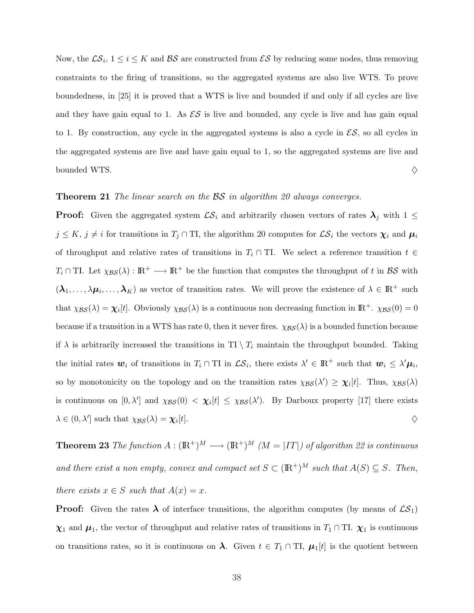Now, the  $\mathcal{LS}_i$ ,  $1 \leq i \leq K$  and  $\mathcal{BS}$  are constructed from  $\mathcal{ES}$  by reducing some nodes, thus removing constraints to the firing of transitions, so the aggregated systems are also live WTS. To prove boundedness, in [25] it is proved that a WTS is live and bounded if and only if all cycles are live and they have gain equal to 1. As  $\mathcal{ES}$  is live and bounded, any cycle is live and has gain equal to 1. By construction, any cycle in the aggregated systems is also a cycle in  $\mathcal{ES}$ , so all cycles in the aggregated systems are live and have gain equal to 1, so the aggregated systems are live and bounded WTS.  $\Diamond$ 

#### **Theorem 21** The linear search on the BS in algorithm 20 always converges.

**Proof:** Given the aggregated system  $\mathcal{LS}_i$  and arbitrarily chosen vectors of rates  $\lambda_j$  with  $1 \leq$  $j \le K$ ,  $j \ne i$  for transitions in  $T_j \cap TI$ , the algorithm 20 computes for  $\mathcal{LS}_i$  the vectors  $\chi_i$  and  $\mu_i$ of throughput and relative rates of transitions in  $T_i \cap T$ . We select a reference transition  $t \in$  $T_i \cap T$ . Let  $\chi_{\mathcal{BS}}(\lambda) : \mathbb{R}^+ \longrightarrow \mathbb{R}^+$  be the function that computes the throughput of t in  $\mathcal{BS}$  with  $(\lambda_1,\ldots,\lambda\mu_i,\ldots,\lambda_K)$  as vector of transition rates. We will prove the existence of  $\lambda \in \mathbb{R}^+$  such that  $\chi_{\mathcal{BS}}(\lambda) = \chi_i[t]$ . Obviously  $\chi_{\mathcal{BS}}(\lambda)$  is a continuous non decreasing function in  $\mathbb{R}^+$ .  $\chi_{\mathcal{BS}}(0) = 0$ because if a transition in a WTS has rate 0, then it never fires.  $\chi_{\mathcal{BS}}(\lambda)$  is a bounded function because if  $\lambda$  is arbitrarily increased the transitions in TI  $\setminus T_i$  maintain the throughput bounded. Taking the initial rates  $w_i$  of transitions in  $T_i \cap T I$  in  $\mathcal{LS}_i$ , there exists  $\lambda' \in \mathbb{R}^+$  such that  $w_i \leq \lambda' \mu_i$ , so by monotonicity on the topology and on the transition rates  $\chi_{\mathcal{BS}}(\lambda') \geq \chi_i[t]$ . Thus,  $\chi_{\mathcal{BS}}(\lambda)$ is continuous on  $[0, \lambda']$  and  $\chi_{\mathcal{BS}}(0) < \chi_i[t] \leq \chi_{\mathcal{BS}}(\lambda')$ . By Darboux property [17] there exists  $\lambda \in (0, \lambda']$  such that  $\chi_{\mathcal{BS}}(\lambda) = \chi_i$  $[t]$ .

**Theorem 23** The function  $A : (\mathbb{R}^+)^M \longrightarrow (\mathbb{R}^+)^M$  ( $M = |IT|$ ) of algorithm 22 is continuous and there exist a non empty, convex and compact set  $S \subset (\mathbb{R}^+)^M$  such that  $A(S) \subseteq S$ . Then, there exists  $x \in S$  such that  $A(x) = x$ .

**Proof:** Given the rates  $\lambda$  of interface transitions, the algorithm computes (by means of  $\mathcal{LS}_1$ )  $\chi_1$  and  $\mu_1$ , the vector of throughput and relative rates of transitions in  $T_1 \cap$  TI.  $\chi_1$  is continuous on transitions rates, so it is continuous on  $\lambda$ . Given  $t \in T_1 \cap TI$ ,  $\mu_1[t]$  is the quotient between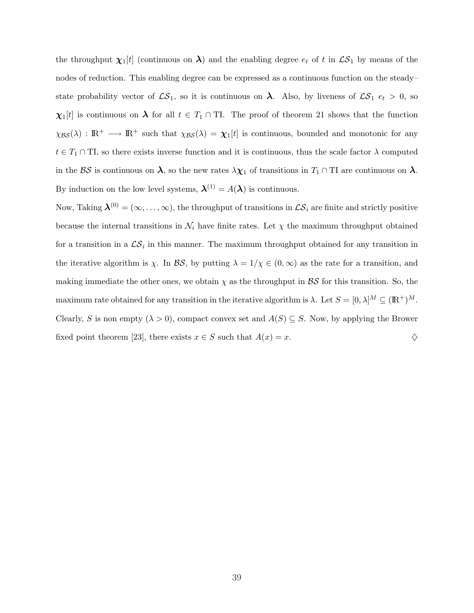the throughput  $\chi_1[t]$  (continuous on  $\lambda$ ) and the enabling degree  $e_t$  of t in  $\mathcal{LS}_1$  by means of the nodes of reduction. This enabling degree can be expressed as a continuous function on the steady– state probability vector of  $\mathcal{LS}_1$ , so it is continuous on  $\lambda$ . Also, by liveness of  $\mathcal{LS}_1$   $e_t > 0$ , so  $\chi_1[t]$  is continuous on  $\lambda$  for all  $t \in T_1 \cap T$ . The proof of theorem 21 shows that the function  $\chi_{\mathcal{BS}}(\lambda) : \mathbb{R}^+ \longrightarrow \mathbb{R}^+$  such that  $\chi_{\mathcal{BS}}(\lambda) = \chi_1[t]$  is continuous, bounded and monotonic for any  $t \in T_1 \cap TI$ , so there exists inverse function and it is continuous, thus the scale factor  $\lambda$  computed in the BS is continuous on  $\lambda$ , so the new rates  $\lambda \chi_1$  of transitions in  $T_1 \cap T_1$  are continuous on  $\lambda$ . By induction on the low level systems,  $\lambda^{(1)} = A(\lambda)$  is continuous.

Now, Taking  $\mathbf{\lambda}^{(0)} = (\infty, \dots, \infty)$ , the throughput of transitions in  $\mathcal{LS}_i$  are finite and strictly positive because the internal transitions in  $\mathcal{N}_i$  have finite rates. Let  $\chi$  the maximum throughput obtained for a transition in a  $\mathcal{LS}_i$  in this manner. The maximum throughput obtained for any transition in the iterative algorithm is  $\chi$ . In BS, by putting  $\lambda = 1/\chi \in (0,\infty)$  as the rate for a transition, and making immediate the other ones, we obtain  $\chi$  as the throughput in  $\mathcal{BS}$  for this transition. So, the maximum rate obtained for any transition in the iterative algorithm is  $\lambda$ . Let  $S = [0, \lambda]^M \subseteq (\mathbb{R}^+)^M$ . Clearly, S is non empty  $(\lambda > 0)$ , compact convex set and  $A(S) \subseteq S$ . Now, by applying the Brower fixed point theorem [23], there exists  $x \in S$  such that  $A(x) = x$ .  $\diamondsuit$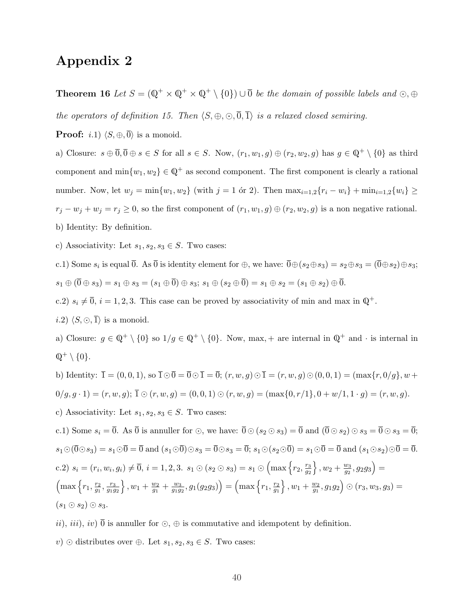## Appendix 2

**Theorem 16** Let  $S = (\mathbb{Q}^+ \times \mathbb{Q}^+ \times \mathbb{Q}^+ \setminus \{0\}) \cup \overline{0}$  be the domain of possible labels and  $\odot, \oplus$ 

the operators of definition 15. Then  $\langle S, \oplus, \odot, \overline{0}, \overline{1}\rangle$  is a relaxed closed semiring.

**Proof:** *i.*1)  $\langle S, \oplus, \overline{0} \rangle$  is a monoid.

a) Closure:  $s \oplus \overline{0}, \overline{0} \oplus s \in S$  for all  $s \in S$ . Now,  $(r_1, w_1, g) \oplus (r_2, w_2, g)$  has  $g \in \mathbb{Q}^+ \setminus \{0\}$  as third component and  $\min\{w_1, w_2\} \in \mathbb{Q}^+$  as second component. The first component is clearly a rational number. Now, let  $w_j = \min\{w_1, w_2\}$  (with  $j = 1$  or 2). Then  $\max_{i=1,2}{r_i - w_i} + \min_{i=1,2}{w_i} ≥$  $r_j - w_j + w_j = r_j \ge 0$ , so the first component of  $(r_1, w_1, g) \oplus (r_2, w_2, g)$  is a non negative rational. b) Identity: By definition.

c) Associativity: Let  $s_1, s_2, s_3 \in S$ . Two cases:

c.1) Some  $s_i$  is equal  $\overline{0}$ . As  $\overline{0}$  is identity element for  $\oplus$ , we have:  $\overline{0} \oplus (s_2 \oplus s_3) = s_2 \oplus s_3 = (\overline{0} \oplus s_2) \oplus s_3$ ;  $s_1 \oplus (\overline{0} \oplus s_3) = s_1 \oplus s_3 = (s_1 \oplus \overline{0}) \oplus s_3; \ s_1 \oplus (s_2 \oplus \overline{0}) = s_1 \oplus s_2 = (s_1 \oplus s_2) \oplus \overline{0}.$ 

c.2)  $s_i \neq \overline{0}$ ,  $i = 1, 2, 3$ . This case can be proved by associativity of min and max in  $\mathbb{Q}^+$ .

*i.2*)  $\langle S, \odot, \overline{1} \rangle$  is a monoid.

a) Closure:  $g \in \mathbb{Q}^+ \setminus \{0\}$  so  $1/g \in \mathbb{Q}^+ \setminus \{0\}$ . Now, max, + are internal in  $\mathbb{Q}^+$  and  $\cdot$  is internal in  $\mathbb{Q}^+ \setminus \{0\}.$ 

b) Identity:  $\bar{1} = (0, 0, 1)$ , so  $\bar{1} \odot \bar{0} = \bar{0} \odot \bar{1} = \bar{0}$ ;  $(r, w, g) \odot \bar{1} = (r, w, g) \odot (0, 0, 1) = (\max\{r, 0/g\}, w +$  $0/g, g \cdot 1) = (r, w, g); \overline{1} \odot (r, w, g) = (0, 0, 1) \odot (r, w, g) = (\max\{0, r/1\}, 0 + w/1, 1 \cdot g) = (r, w, g).$ c) Associativity: Let  $s_1, s_2, s_3 \in S$ . Two cases: c.1) Some  $s_i = \overline{0}$ . As  $\overline{0}$  is annuller for  $\odot$ , we have:  $\overline{0} \odot (s_2 \odot s_3) = \overline{0}$  and  $(\overline{0} \odot s_2) \odot s_3 = \overline{0} \odot s_3 = \overline{0}$ ;  $s_1\odot(\overline{0}\odot s_3) = s_1\odot\overline{0} = \overline{0}$  and  $(s_1\odot\overline{0})\odot s_3 = \overline{0}\odot s_3 = \overline{0}; s_1\odot(s_2\odot\overline{0}) = s_1\odot\overline{0} = \overline{0}$  and  $(s_1\odot s_2)\odot\overline{0} = \overline{0}$ . c.2)  $s_i = (r_i, w_i, g_i) \neq \overline{0}, i = 1, 2, 3$ .  $s_1 \odot (s_2 \odot s_3) = s_1 \odot$  $\left(\max\left\{r_2,\frac{r_3}{q_2}\right\}\right)$  $\overline{g_2}$ o  $, w_2 + \frac{w_3}{q_2}$  $\frac{w_3}{g_2}, g_2g_3$ ´ =  $\left(\max\left\{r_1,\frac{r_2}{a_1}\right\}\right)$  $rac{r_2}{g_1}, \frac{r_3}{g_1g}$  $\overline{g_1g_2}$ o  $, w_1 + \frac{w_2}{q_1}$  $\frac{w_2}{g_1} + \frac{w_3}{g_1g_2}$  $\frac{w_3}{g_1g_2}$ ,  $g_1(g_2g_3)$ ´ =  $\left(\max\left\{r_1,\frac{r_2}{a_1}\right\}\right)$  $\overline{g_1}$ o  $, w_1 + \frac{w_2}{q_1}$  $\frac{w_2}{g_1}, g_1g_2$ ´  $\odot (r_3, w_3, g_3) =$  $(s_1 \odot s_2) \odot s_3.$ 

ii), iii), iv)  $\overline{0}$  is annuller for  $\odot$ ,  $\oplus$  is commutative and idempotent by definition.

v) ⊙ distributes over ⊕. Let  $s_1, s_2, s_3 \in S$ . Two cases: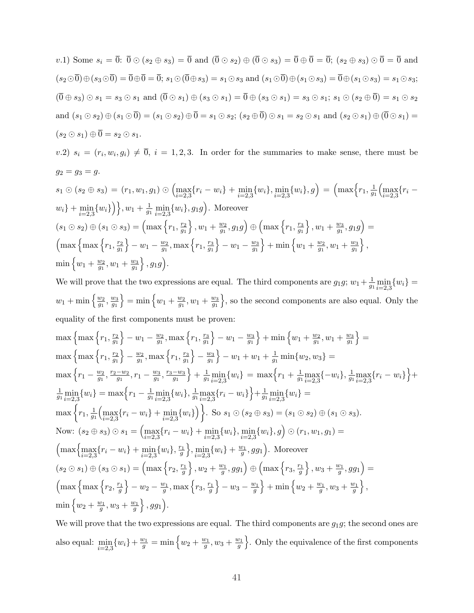v.1) Some  $s_i = \overline{0}$ :  $\overline{0} \odot (s_2 \oplus s_3) = \overline{0}$  and  $(\overline{0} \odot s_2) \oplus (\overline{0} \odot s_3) = \overline{0} \oplus \overline{0} = \overline{0}$ ;  $(s_2 \oplus s_3) \odot \overline{0} = \overline{0}$  and  $(s_2\odot\overline{0})\oplus(s_3\odot\overline{0}) = \overline{0}\oplus\overline{0} = \overline{0}; s_1\odot(\overline{0}\oplus s_3) = s_1\odot s_3$  and  $(s_1\odot\overline{0})\oplus(s_1\odot s_3) = \overline{0}\oplus(s_1\odot s_3) = s_1\odot s_3;$  $(\overline{0} \oplus s_3) \odot s_1 = s_3 \odot s_1$  and  $(\overline{0} \odot s_1) \oplus (s_3 \odot s_1) = \overline{0} \oplus (s_3 \odot s_1) = s_3 \odot s_1$ ;  $s_1 \odot (s_2 \oplus \overline{0}) = s_1 \odot s_2$ and  $(s_1 \odot s_2) \oplus (s_1 \odot \overline{0}) = (s_1 \odot s_2) \oplus \overline{0} = s_1 \odot s_2$ ;  $(s_2 \oplus \overline{0}) \odot s_1 = s_2 \odot s_1$  and  $(s_2 \odot s_1) \oplus (\overline{0} \odot s_1) =$  $(s_2 \odot s_1) \oplus \overline{0} = s_2 \odot s_1.$ 

v.2)  $s_i = (r_i, w_i, g_i) \neq \overline{0}, i = 1, 2, 3$ . In order for the summaries to make sense, there must be  $g_2 = g_3 = g.$ 

$$
s_1 \odot (s_2 \oplus s_3) = (r_1, w_1, g_1) \odot (\max_{i=2,3} \{r_i - w_i\} + \min_{i=2,3} \{w_i\}, \min_{i=2,3} \{w_i\}, g) = (\max \{r_1, \frac{1}{g_1} \left(\max_{i=2,3} \{r_i - w_i\} + \min_{i=2,3} \{w_i\}\right)\}, w_1 + \frac{1}{g_1} \min_{i=2,3} \{w_i\}, g_1g).
$$
 Moreover  
\n
$$
(s_1 \odot s_2) \oplus (s_1 \odot s_3) = (\max \{r_1, \frac{r_2}{g_1}\}, w_1 + \frac{w_2}{g_1}, g_1g) \oplus (\max \{r_1, \frac{r_3}{g_1}\}, w_1 + \frac{w_3}{g_1}, g_1g) = (\max \{r_1, \frac{r_2}{g_1}\} - w_1 - \frac{w_2}{g_1}, \max \{r_1, \frac{r_3}{g_1}\} - w_1 - \frac{w_3}{g_1}\} + \min \{w_1 + \frac{w_2}{g_1}, w_1 + \frac{w_3}{g_1}\},
$$
  
\n
$$
\min \{w_1 + \frac{w_2}{g_1}, w_1 + \frac{w_3}{g_1}\}, g_1g).
$$

We will prove that the two expressions are equal. The third components are  $g_1 g$ ;  $w_1 + \frac{1}{q}$  $\frac{1}{g_1}\min_{i=2,3}\{w_i\} =$  $w_1 + \min\left\{\frac{w_2}{a_1}\right\}$  $\frac{w_2}{g_1}, \frac{w_3}{g_1}$  $\overline{g_1}$  $\} = \min \left\{ w_1 + \frac{w_2}{q_1} \right\}$  $\frac{w_2}{g_1}, w_1 + \frac{w_3}{g_1}$  $\overline{g_1}$ o , so the second components are also equal. Only the equality of the first components must be proven:

$$
\max\left\{\max\left\{r_1,\frac{r_2}{g_1}\right\}-w_1-\frac{w_2}{g_1},\max\left\{r_1,\frac{r_3}{g_1}\right\}-w_1-\frac{w_3}{g_1}\right\}+\min\left\{w_1+\frac{w_2}{g_1},w_1+\frac{w_3}{g_1}\right\}=\n\max\left\{\max\left\{r_1,\frac{r_2}{g_1}\right\}-\frac{w_2}{g_1},\max\left\{r_1,\frac{r_3}{g_1}\right\}-\frac{w_3}{g_1}\right\}-w_1+w_1+\frac{1}{g_1}\min\{w_2,w_3\}=\n\max\left\{r_1-\frac{w_2}{g_1},\frac{r_2-w_2}{g_1},r_1-\frac{w_3}{g_1},\frac{r_3-w_3}{g_1}\right\}+\frac{1}{g_1}\min\{w_i\}=\max\left\{r_1+\frac{1}{g_1}\max\{-w_i\},\frac{1}{g_1}\max\{r_i-w_i\}\right\}+\n\frac{1}{g_1}\min\{w_i\}=\max\left\{r_1-\frac{1}{g_1}\min\{w_i\},\frac{1}{g_1}\max\{r_i-w_i\}\right\}+\frac{1}{g_1}\min\{w_i\}=\n\max\left\{r_1,\frac{1}{g_1}\left(\max\{r_i-w_i\}+\min\{w_i\}\right)\right\}.
$$
 So  $s_1 \odot (s_2 \oplus s_3) = (s_1 \odot s_2) \oplus (s_1 \odot s_3).$   
\nNow:  $(s_2 \oplus s_3) \odot s_1 = \left(\max\{r_i-w_i\}+\min\{w_i\},\min\{w_i\},g\right) \odot (r_1,w_1,g_1) =\n\left(\max\left\{\max\{r_i-w_i\}+\min\{w_i\},\frac{r_1}{g}\right\},\min\{w_i\}+\frac{w_1}{g},gg_1\right).$  Moreover  
\n $(s_2 \odot s_1) \oplus (s_3 \odot s_1) = \left(\max\left\{r_2,\frac{r_1}{g}\right\},w_2+\frac{w_1}{g},gg_1\right) \oplus \left(\max\left\{r_3,\frac{r_1}{g}\right$ 

We will prove that the two expressions are equal. The third components are  $g_1g$ ; the second ones are also equal:  $\min_{i=2,3} \{w_i\} + \frac{w_1}{g} = \min \left\{w_2 + \frac{w_1}{g}, w_3 + \frac{w_1}{g}\right\}$ o . Only the equivalence of the first components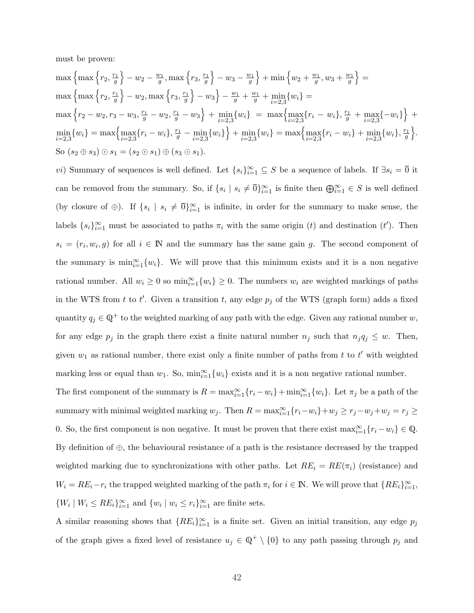must be proven:

$$
\max\left\{\max\left\{r_2, \frac{r_1}{g}\right\} - w_2 - \frac{w_1}{g}, \max\left\{r_3, \frac{r_1}{g}\right\} - w_3 - \frac{w_1}{g}\right\} + \min\left\{w_2 + \frac{w_1}{g}, w_3 + \frac{w_1}{g}\right\} =
$$
\n
$$
\max\left\{\max\left\{r_2, \frac{r_1}{g}\right\} - w_2, \max\left\{r_3, \frac{r_1}{g}\right\} - w_3\right\} - \frac{w_1}{g} + \frac{w_1}{g} + \min_{i=2,3}\{w_i\} =
$$
\n
$$
\max\left\{r_2 - w_2, r_3 - w_3, \frac{r_1}{g} - w_2, \frac{r_1}{g} - w_3\right\} + \min_{i=2,3}\{w_i\} = \max\left\{\max_{i=2,3}\{r_i - w_i\}, \frac{r_1}{g} + \min_{i=2,3}\{w_i\} = \max\left\{\max_{i=2,3}\{r_i - w_i\} + \min_{i=2,3}\{w_i\}, \frac{r_1}{g}\right\}.
$$
\n
$$
\min\left\{w_i\right\} = \max\left\{\max_{i=2,3}\{r_i - w_i\}, \frac{r_1}{g} - \min_{i=2,3}\{w_i\}\right\} + \min_{i=2,3}\{w_i\} = \max\left\{\max_{i=2,3}\{r_i - w_i\} + \min_{i=2,3}\{w_i\}, \frac{r_1}{g}\right\}.
$$
\nSo  $(s_2 \oplus s_3) \odot s_1 = (s_2 \odot s_1) \oplus (s_3 \odot s_1).$ 

vi) Summary of sequences is well defined. Let  $\{s_i\}_{i=1}^{\infty} \subseteq S$  be a sequence of labels. If  $\exists s_i = \overline{0}$  it can be removed from the summary. So, if  $\{s_i \mid s_i \neq \overline{0}\}_{i=1}^{\infty}$  is finite then  $\bigoplus_{i=1}^{\infty} \in S$  is well defined (by closure of  $\oplus$ ). If  $\{s_i \mid s_i \neq \overline{0}\}_{i=1}^{\infty}$  is infinite, in order for the summary to make sense, the labels  $\{s_i\}_{i=1}^{\infty}$  must be associated to paths  $\pi_i$  with the same origin (t) and destination (t'). Then  $s_i = (r_i, w_i, g)$  for all  $i \in \mathbb{N}$  and the summary has the same gain g. The second component of the summary is  $\min_{i=1}^{\infty} \{w_i\}$ . We will prove that this minimum exists and it is a non negative rational number. All  $w_i \geq 0$  so  $\min_{i=1}^{\infty} \{w_i\} \geq 0$ . The numbers  $w_i$  are weighted markings of paths in the WTS from t to t'. Given a transition t, any edge  $p_j$  of the WTS (graph form) adds a fixed quantity  $q_j \in \mathbb{Q}^+$  to the weighted marking of any path with the edge. Given any rational number w, for any edge  $p_j$  in the graph there exist a finite natural number  $n_j$  such that  $n_j q_j \leq w$ . Then, given  $w_1$  as rational number, there exist only a finite number of paths from t to t' with weighted marking less or equal than  $w_1$ . So,  $\min_{i=1}^{\infty} \{w_i\}$  exists and it is a non negative rational number.

The first component of the summary is  $R = \max_{i=1}^{\infty} \{r_i - w_i\} + \min_{i=1}^{\infty} \{w_i\}$ . Let  $\pi_j$  be a path of the summary with minimal weighted marking  $w_j$ . Then  $R = \max_{i=1}^{\infty} \{r_i - w_i\} + w_j \ge r_j - w_j + w_j = r_j \ge$ 0. So, the first component is non negative. It must be proven that there exist  $\max_{i=1}^{\infty} \{r_i - w_i\} \in \mathbb{Q}$ . By definition of ⊕, the behavioural resistance of a path is the resistance decreased by the trapped weighted marking due to synchronizations with other paths. Let  $RE_i = RE(\pi_i)$  (resistance) and  $W_i = RE_i - r_i$  the trapped weighted marking of the path  $\pi_i$  for  $i \in \mathbb{N}$ . We will prove that  $\{RE_i\}_{i=1}^{\infty}$ ,  $\{W_i \mid W_i \leq RE_i\}_{i=1}^{\infty}$  and  $\{w_i \mid w_i \leq r_i\}_{i=1}^{\infty}$  are finite sets.

A similar reasoning shows that  $\{RE_i\}_{i=1}^{\infty}$  is a finite set. Given an initial transition, any edge  $p_j$ of the graph gives a fixed level of resistance  $u_j \in \mathbb{Q}^+ \setminus \{0\}$  to any path passing through  $p_j$  and